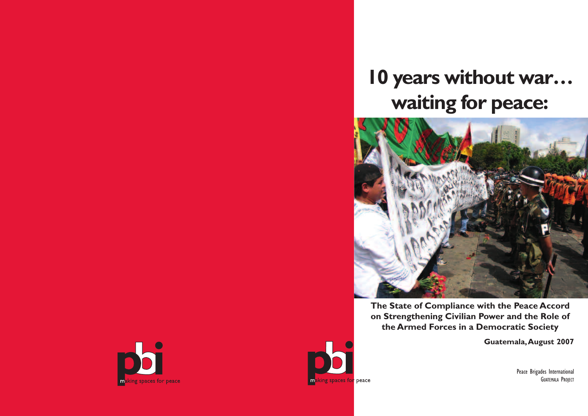



# **10 years without war… waiting for peace:**



**The State of Compliance with the Peace Accord on Strengthening Civilian Power and the Role of the Armed Forces in a Democratic Society**

**Guatemala,August 2007**

Peace Brigades International GUATEMALA PROJECT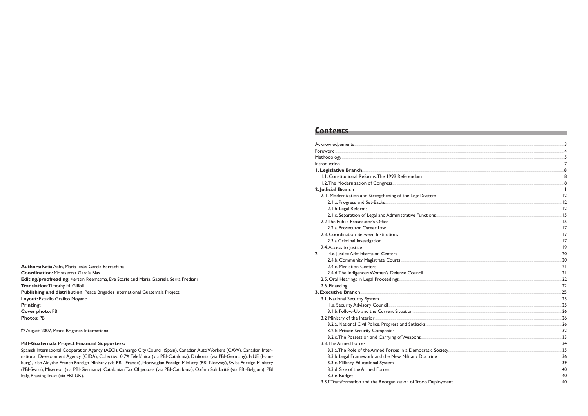## **Contents**

|                                                                                                                                                                                                                                      | $\overline{4}$          |
|--------------------------------------------------------------------------------------------------------------------------------------------------------------------------------------------------------------------------------------|-------------------------|
|                                                                                                                                                                                                                                      | 5                       |
| <u>Introduction and the community of the community of the community of the community of the community of the community of the community of the community of the community of the community of the community of the community of </u> | $\overline{7}$          |
| 1. Legislative Branch <b>Executive Strategies and Contract Contract Contract Contract Contract Contract Contract Contract Contract Contract Contract Contract Contract Contract Contract Contract Contract Contract Contract Con</b> | $\overline{\mathbf{8}}$ |
| 1.1. Constitutional Reforms: The 1999 Referendum <b>Constitution and Constitutional Properties</b>                                                                                                                                   | $\overline{8}$          |
|                                                                                                                                                                                                                                      | $\overline{8}$          |
| 2. Judicial Branch <b>Andrea</b> (1996) 2. Judicial Branch <b>Andrea (1996) 2. Judicial Branch Andrea (1997)</b>                                                                                                                     |                         |
|                                                                                                                                                                                                                                      |                         |
| 2. I.a. Progress and Set-Backs 22. I.a. Progress and Set-Backs 22. I.a. Progress and Set-Backs 22. I                                                                                                                                 |                         |
| 2. I.b. Legal Reforms 2. 2. 2. I.b. Legal Reforms 2. 2. I.b. Legal Reforms 2. I.a. 2. I.a. 2. I.a. 2. I.a. 2. I                                                                                                                      |                         |
|                                                                                                                                                                                                                                      |                         |
| 2.2 The Public Prosecutor's Office <b>Contract Contract Contract Contract Contract Contract Contract Contract Contract Contract Contract Contract Contract Contract Contract Contract Contract Contract Contract Contract Contra</b> |                         |
| 2.2.a. Prosecutor Career Law 2008 and 2009 and 2009 and 2009 and 2009 and 2009 and 2009 and 2009 and 2009 and 2009 and 2009 and 2009 and 2009 and 2009 and 2009 and 2009 and 2009 and 2009 and 2009 and 2009 and 2009 and 2009       |                         |
| 2.3. Coordination Between Institutions 2.3. Coordination Between Institutions 2.3. Coordination Between Institutions 2.7                                                                                                             |                         |
| 2.3.a Criminal Investigation 2008 and 2009 and 2009 and 2009 and 2009 and 2009 and 2009 and 2009 and 2009 and 2009 and 2009 and 2009 and 2009 and 2009 and 2009 and 2009 and 2009 and 2009 and 2009 and 2009 and 2009 and 2009       |                         |
| 2.4. Access to Justice <b>Access to the contract of the contract of the contract of the contract of the contract of the contract of the contract of the contract of the contract of the contract of the contract of the contract</b> | .19                     |
| $\overline{2}$                                                                                                                                                                                                                       | 20                      |
|                                                                                                                                                                                                                                      | .20                     |
|                                                                                                                                                                                                                                      | 21                      |
| 2.4.d. The Indigenous Women's Defense Council Communication and the Indian Communication of the Indigenous Women's Defense Council Communication and the Indian Communication of the Indian Communication of the Indian Commun       | 21                      |
|                                                                                                                                                                                                                                      | 22                      |
| 2.6. Financing <b>Executive Contract Contract Contract Contract Contract Contract Contract Contract Contract Contract Contract Contract Contract Contract Contract Contract Contract Contract Contract Contract Contract Contrac</b> | 22                      |
|                                                                                                                                                                                                                                      | 25                      |
| 3.1. National Security System <b>Execution Control</b> and Table 1 and Table 1 and Table 1 and Table 1 and Table 1 and Table 1 and Table 1 and Table 1 and Table 1 and Table 1 and Table 1 and Table 1 and Table 1 and Table 1 and   | 25                      |
| . I.a. Security Advisory Council <b>Executive Council Advisory Council Advisory Council</b>                                                                                                                                          | 25                      |
| 3.1.b. Follow-Up and the Current Situation <b>Example 2018</b> 1.1.b. Follow-Up and the Current Situation                                                                                                                            | 26                      |
| 3.2 Ministry of the Interior entropy and the state of the Interior entropy and the Interior entropy and the Interior                                                                                                                 | 26                      |
| 3.2.a. National Civil Police. Progress and Setbacks. Manufacture and Setbacks and Setbacks and Setbacks and Setbacks and Setbacks and Setbacks and Setbacks and Setbacks and Setbacks and Setbacks and Setbacks and Setbacks a       | 26                      |
| 3.2 b. Private Security Companies <b>Exercísies</b> and the second security of the security companies and the security of the second security companies and the second second second security companies and the second second secon  | 32                      |
|                                                                                                                                                                                                                                      | 33                      |
|                                                                                                                                                                                                                                      | 34                      |
|                                                                                                                                                                                                                                      | .35                     |
| 3.3.b. Legal Framework and the New Military Doctrine <b>Constant Construction Construction</b> Constant Construction Construction Construction Construction Construction Construction Construction Construction Construction Constr  | .36                     |
| 3.3.c. Military Educational System <b>Annual According to the Contract of According Contract of According Contract O</b>                                                                                                             | 39                      |
|                                                                                                                                                                                                                                      | .40                     |
| 3.3.e. Budget.                                                                                                                                                                                                                       | $-40$                   |
| 3.3.f. Transformation and the Reorganization of Troop Deployment                                                                                                                                                                     | 40                      |
|                                                                                                                                                                                                                                      |                         |

Authors: Katia Aeby, María Jesús García Barrachina **Coordination: Montserrat García Blas** Editing/proofreading: Kerstin Reemtsma, Eve Scarfe and María Gabriela Serra Frediani Translation: Timothy N. Gilfoil Publishing and distribution: Peace Brigades International Guatemala Project Layout: Estudio Gráfico Moyano **Printing: Cover photo: PBI Photos: PBI** 

© August 2007, Peace Brigades International

#### **PBI-Guatemala Project Financial Supporters:**

Spanish International Cooperation Agency (AECI), Camargo City Council (Spain), Canadian Auto Workers (CAW), Canadian International Development Agency (CIDA), Colectivo 0,7% Telefónica (via PBI-Catalonia), Diakonia (via PBI-Germany), NUE (Hamburg), Irish Aid, the French Foreign Ministry (via PBI- France), Norwegian Foreign Ministry (PBI-Norway), Swiss Foreign Ministry (PBI-Swiss), Misereor (via PBI-Germany), Catalonian Tax Objectors (via PBI-Catalonia), Oxfam Solidarité (via PBI-Belgium), PBI Italy, Rausing Trust (via PBI-UK).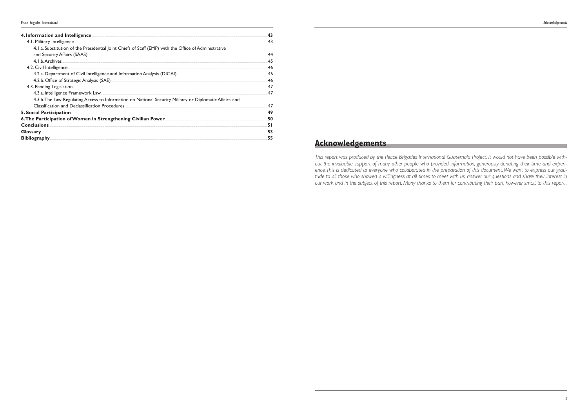| 4. Information and Intelligence.                                                                                                                                                                                                     | 43 |
|--------------------------------------------------------------------------------------------------------------------------------------------------------------------------------------------------------------------------------------|----|
| 4.1. Military Intelligence.                                                                                                                                                                                                          | 43 |
| 4.1.a. Substitution of the Presidential Joint Chiefs of Staff (EMP) with the Office of Administrative                                                                                                                                |    |
|                                                                                                                                                                                                                                      | 44 |
| 4.1.b. Archives                                                                                                                                                                                                                      | 45 |
| 4.2. Civil Intelligence.                                                                                                                                                                                                             | 46 |
|                                                                                                                                                                                                                                      | 46 |
| 4.2.b. Office of Strategic Analysis (SAE) <b>Contained According to the Contract Office</b> of Strategic Analysis (SAE)                                                                                                              | 46 |
| 4.3. Pending Legislation.                                                                                                                                                                                                            | 47 |
| 4.3.a. Intelligence Framework Law Manuel Allen and the control of the control of the control of the control of                                                                                                                       | 47 |
| 4.3.b. The Law Regulating Access to Information on National Security Military or Diplomatic Affairs, and                                                                                                                             |    |
| Classification and Declassification Procedures.                                                                                                                                                                                      | 47 |
| 5. Social Participation.                                                                                                                                                                                                             | 49 |
| 6. The Participation of Women in Strengthening Civilian Power                                                                                                                                                                        | 50 |
| <b>Conclusions</b>                                                                                                                                                                                                                   | 51 |
| Glossary <u>Constant of the Constant of the Constant of the Constant of the Constant of the Constant of the Constant of the Constant of the Constant of the Constant of the Constant of the Constant of the Constant of the Cons</u> | 53 |
| <b>Bibliography</b>                                                                                                                                                                                                                  | 55 |

## **Acknowledgements**

This report was produced by the Peace Brigades International Guatemala Project. It would not have been possible without the invaluable support of many other people who provided information, generously donating their time and experience. This is dedicated to everyone who collaborated in the preparation of this document. We want to express our gratitude to all those who showed a willingness at all times to meet with us, answer our questions and share their interest in our work and in the subject of this report. Many thanks to them for contributing their part, however small, to this report..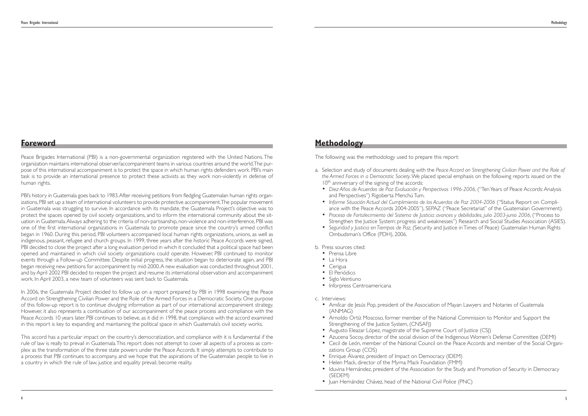## **Methodology**

The following was the methodology used to prepare this report:

a. Selection and study of documents dealing with the *Peace Accord on Strengthening Civilian Power and the Role of*

• *Diez Años de Acuerdos de Paz: Evaluación y Perspectivas 1996-2006*, ("Ten Years of Peace Accords:Analysis

- Prensa Libre
- La Hora
- Cerigua
- El Periódico
- Siglo Veintiuno
- Inforpress Centroamericana
- c. Interviews:
	- Amílcar de Jesús Pop, president of the Association of Mayan Lawyers and Notaries of Guatemala (ANMAG)
	- Arnoldo Ortíz Moscoso, former member of the National Commission to Monitor and Support the Strengthening of the Justice System, (CNSAFI)
	- Augusto Eleazar López, magistrate of the Supreme Court of Justice (CSJ)
	- Azucena Socoy, director of the social division of the Indigenous Women's Defense Committee (DEMI)
	- zations Group (COS)
	- Enrique Álvarez, president of Impact on Democracy (IDEM)
	- Helen Mack, director of the Myrna Mack Foundation (FMM)
	- Iduvina Hernández, president of the Association for the Study and Promotion of Security in Democracy (SEDEM)
	- Iuan Hernández Chávez, head of the National Civil Police (PNC)
- *the Armed Forces in a Democratic Society*.We placed special emphasis on the following reports issued on the  $10<sup>th</sup>$  anniversary of the signing of the accords:
- and Perspectives") Rigoberta Menchú Tum.
- *Informe Situación Actual del Cumplimiento de los Acuerdos de Paz 2004-2006* ("Status Report on Compli-
- 
- Ombudsman's Office (PDH), 2006.

ance with the Peace Accords 2004-2005"), SEPAZ ("Peace Secretariat" of the Guatemalan Government). • *Proceso de Fortalecimiento del Sistema de Justicia: avances y debilidades, julio 2003-junio 2006*, ("Process to Strengthen the Justice System: progress and weaknesses") Research and Social Studies Association (ASIES). • *Seguridad y Justicia en Tiempos de Paz*, (Security and Justice in Times of Peace) Guatemalan Human Rights

#### b. Press sources cited:

• Cecil de León, member of the National Council on the Peace Accords and member of the Social Organi-

## **Foreword**

Peace Brigades International (PBI) is a non-governmental organization registered with the United Nations. The organization maintains international observer/accompaniment teams in various countries around the world.The purpose of this international accompaniment is to protect the space in which human rights defenders work. PBI's main task is to provide an international presence to protect these activists as they work non-violently in defense of human rights.

PBI's history in Guatemala goes back to 1983.After receiving petitions from fledgling Guatemalan human rights organizations, PBI set up a team of international volunteers to provide protective accompaniment.The popular movement in Guatemala was struggling to survive. In accordance with its mandate, the Guatemala Project's objective was to protect the spaces opened by civil society organizations, and to inform the international community about the situation in Guatemala.Always adhering to the criteria of non-partisanship, non-violence and non-interference, PBI was one of the first international organizations in Guatemala to promote peace since the country's armed conflict began in 1960. During this period, PBI volunteers accompanied local human rights organizations, unions, as well as indigenous, peasant, refugee and church groups. In 1999, three years after the historic Peace Accords were signed, PBI decided to close the project after a long evaluation period in which it concluded that a political space had been opened and maintained in which civil society organizations could operate. However, PBI continued to monitor events through a Follow-up Committee. Despite initial progress, the situation began to deteriorate again, and PBI began receiving new petitions for accompaniment by mid-2000.A new evaluation was conducted throughout 2001, and by April 2002 PBI decided to reopen the project and resume its international observation and accompaniment work. In April 2003, a new team of volunteers was sent back to Guatemala.

In 2006, the Guatemala Project decided to follow up on a report prepared by PBI in 1998 examining the Peace Accord on Strengthening Civilian Power and the Role of the Armed Forces in a Democratic Society. One purpose of this follow-up report is to continue divulging information as part of our international accompaniment strategy. However, it also represents a continuation of our accompaniment of the peace process and compliance with the Peace Accords 10 years later. PBI continues to believe, as it did in 1998, that compliance with the accord examined in this report is key to expanding and maintaining the political space in which Guatemala's civil society works.

This accord has a particular impact on the country's democratization, and compliance with it is fundamental if the rule of law is really to prevail in Guatemala.This report does not attempt to cover all aspects of a process as complex as the transformation of the three state powers under the Peace Accords. It simply attempts to contribute to a process that PBI continues to accompany, and we hope that the aspirations of the Guatemalan people to live in a country in which the rule of law, justice and equality prevail, become reality.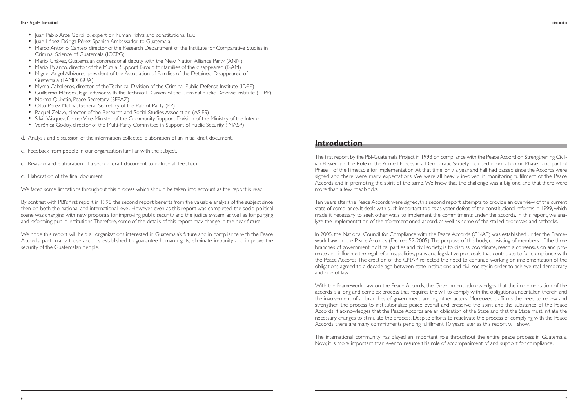## **Introduction**

The first report by the PBI-Guatemala Project in 1998 on compliance with the Peace Accord on Strengthening Civilian Power and the Role of the Armed Forces in a Democratic Society included information on Phase I and part of Phase II of the Timetable for Implementation. At that time, only a year and half had passed since the Accords were signed and there were many expectations. We were all heavily involved in monitoring fulfillment of the Peace Accords and in promoting the spirit of the same.We knew that the challenge was a big one and that there were more than a few roadblocks.

Ten years after the Peace Accords were signed, this second report attempts to provide an overview of the current state of compliance. It deals with such important topics as voter defeat of the constitutional reforms in 1999, which made it necessary to seek other ways to implement the commitments under the accords. In this report, we analyze the implementation of the aforementioned accord, as well as some of the stalled processes and setbacks.

In 2005, the National Council for Compliance with the Peace Accords (CNAP) was established under the Framework Law on the Peace Accords (Decree 52-2005).The purpose of this body, consisting of members of the three branches of government, political parties and civil society, is to discuss, coordinate, reach a consensus on and promote and influence the legal reforms, policies, plans and legislative proposals that contribute to full compliance with the Peace Accords.The creation of the CNAP reflected the need to continue working on implementation of the obligations agreed to a decade ago between state institutions and civil society in order to achieve real democracy and rule of law.

With the Framework Law on the Peace Accords, the Government acknowledges that the implementation of the accords is a long and complex process that requires the will to comply with the obligations undertaken therein and the involvement of all branches of government, among other actors. Moreover, it affirms the need to renew and strengthen the process to institutionalize peace overall and preserve the spirit and the substance of the Peace Accords. It acknowledges that the Peace Accords are an obligation of the State and that the State must initiate the necessary changes to stimulate the process. Despite efforts to reactivate the process of complying with the Peace Accords, there are many commitments pending fulfillment 10 years later, as this report will show.

The international community has played an important role throughout the entire peace process in Guatemala. Now, it is more important than ever to resume this role of accompaniment of and support for compliance.

- Juan Pablo Arce Gordillo, expert on human rights and constitutional law.
- Juan López-Dóriga Pérez, Spanish Ambassador to Guatemala
- Marco Antonio Canteo, director of the Research Department of the Institute for Comparative Studies in Criminal Science of Guatemala (ICCPG)
- Mario Chávez, Guatemalan congressional deputy with the New Nation Alliance Party (ANN)
- Mario Polanco, director of the Mutual Support Group for families of the disappeared (GAM)
- Miguel Ángel Albizures, president of the Association of Families of the Detained-Disappeared of Guatemala (FAMDEGUA)
- Myrna Caballeros, director of the Technical Division of the Criminal Public Defense Institute (IDPP)
- Guillermo Méndez, legal advisor with the Technical Division of the Criminal Public Defense Institute (IDPP)
- Norma Quixtán, Peace Secretary (SEPAZ)
- Otto Pérez Molina, General Secretary of the Patriot Party (PP)
- Raquel Zelaya, director of the Research and Social Studies Association (ASIES)
- Silvia Vásquez, former Vice-Minister of the Community Support Division of the Ministry of the Interior
- Verónica Godoy, director of the Multi-Party Committee in Support of Public Security (IMASP)
- d. Analysis and discussion of the information collected. Elaboration of an initial draft document.
- c. Feedback from people in our organization familiar with the subject.
- c. Revision and elaboration of a second draft document to include all feedback.
- c. Elaboration of the final document.

We faced some limitations throughout this process which should be taken into account as the report is read:

By contrast with PBI's first report in 1998, the second report benefits from the valuable analysis of the subject since then on both the national and international level. However, even as this report was completed, the socio-political scene was changing with new proposals for improving public security and the justice system, as well as for purging and reforming public institutions.Therefore, some of the details of this report may change in the near future.

We hope this report will help all organizations interested in Guatemala's future and in compliance with the Peace Accords, particularly those accords established to guarantee human rights, eliminate impunity and improve the security of the Guatemalan people.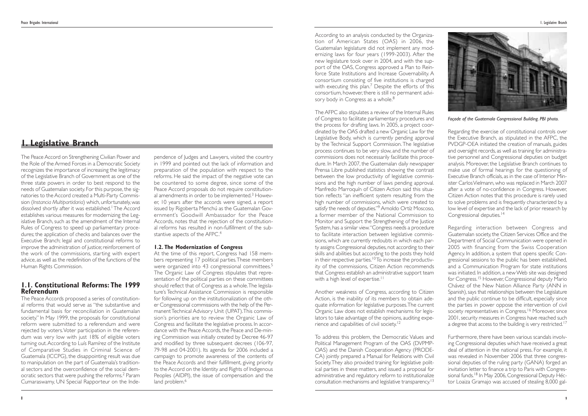According to an analysis conducted by the Organization of American States (OAS) in 2006, the Guatemalan legislature did not implement any modernizing laws for four years (1999-2003). After the new legislature took over in 2004, and with the support of the OAS, Congress approved a Plan to Reinforce State Institutions and Increase Governability. A consortium consisting of five institutions is charged with executing this plan.<sup>7</sup> Despite the efforts of this consortium, however, there is still no permanent advisory body in Congress as a whole.<sup>8</sup>

The AFPC also stipulates a review of the Internal Rules of Congress to facilitate parliamentary procedures and the process for drafting laws. In 2005, a project coordinated by the OAS drafted a new Organic Law for the Legislative Body, which is currently pending approval by the Technical Support Commission.The legislative process continues to be very slow, and the number of commissions does not necessarily facilitate this procedure. In March 2007, the Guatemalan daily newspaper Prensa Libre published statistics showing the contrast between the low productivity of legislative commissions and the high number of laws pending approval. Manfredo Marroquín of Citizen Action said this situation reflects "an inefficient system resulting from the high number of commissions, which were created to satisfy the needs of deputies."<sup>9</sup> Arnoldo Ortíz Moscoso, a former member of the National Commission to Monitor and Support the Strengthening of the Justice System, has a similar view."Congress needs a procedure to facilitate interaction between legislative commissions, which are currently redoubts in which each party assigns Congressional deputies, not according to their skills and abilities but according to the posts they hold in their respective parties.<sup>10</sup>To increase the productivity of the commissions, Citizen Action recommends that Congress establish an administrative support team with a high level of expertise.<sup>11</sup>

Regarding interaction between Congress and Guatemalan society, the Citizen Services Office and the Department of Social Communication were opened in 2005 with financing from the Swiss Cooperation Agency. In addition, a system that opens specific Congressional sessions to the public has been established, and a Communication Program for state institutions was initiated. In addition, a new Web site was designed for Congress.15 However, Congressional deputy Mario Chávez of the New Nation Alliance Party (ANN in Spanish), says that relationships between the Legislature and the public continue to be difficult, especially since the parties in power oppose the intervention of civil society representatives in Congress.<sup>16</sup> Moreover, since 2001, security measures in Congress have reached such a degree that access to the building is very restricted.<sup>17</sup>

Another weakness of Congress, according to Citizen Action, is the inability of its members to obtain adequate information for legislative purposes.The current Organic Law does not establish mechanisms for legislators to take advantage of the opinions, auditing experience and capabilities of civil society.12

To address this problem, the Democratic Values and Political Management Program of the OAS (DVPMP-OAS) and the Danish Cooperation Agency (PRODE-CA) jointly prepared a Manual for Relations with Civil Society.They also provided training for legislative political parties in these matters, and issued a proposal for administrative and regulatory reform to institutionalize consultation mechanisms and legislative transparency.13

Regarding the exercise of constitutional controls over the Executive Branch, as stipulated in the AFPC, the PVDGP-OEA initiated the creation of manuals, guides and oversight records, as well as training for administrative personnel and Congressional deputies on budget analysis. Moreover, the Legislative Branch continues to make use of formal hearings for the questioning of Executive Branch officials, as in the case of Interior Minister Carlos Vielmann, who was replaced in March 2007 after a vote of no-confidence in Congress. However, Citizen Action notes that this procedure is rarely used to solve problems and is frequently characterized by a low level of expertise and the lack of prior research by Congressional deputies.14

pendence of Judges and Lawyers, visited the country in 1999 and pointed out the lack of information and preparation of the population with respect to the reforms. He said the impact of the negative vote can be countered to some degree, since some of the Peace Accord proposals do not require constitutional amendments in order to be implemented.<sup>3</sup> However, 10 years after the accords were signed, a report issued by Rigoberta Menchú as the Guatemalan Government's Goodwill Ambassador for the Peace Accords, notes that the rejection of the constitutional reforms has resulted in non-fulfillment of the substantive aspects of the AFPC.<sup>4</sup>

At the time of this report, Congress had 158 members representing 17 political parties.These members were organized into 43 congressional committees.<sup>5</sup> The Organic Law of Congress stipulates that representation of the political parties on these committees should reflect that of Congress as a whole.The legislature's Technical Assistance Commission is responsible for following up on the institutionalization of the other Congressional commissions with the help of the Permanent Technical Advisory Unit (UPAT).This commission's priorities are to review the Organic Law of Congress and facilitate the legislative process. In accordance with the Peace Accords, the Peace and De-mining Commission was initially created by Decree 46-97 and modified by three subsequent decrees (106-97, 79-98 and 04-2001). Its agenda for 2006 included a campaign to promote awareness of the contents of the Peace Accords and their fulfillment, giving priority to the Accord on the Identity and Rights of Indigenous Peoples (AIDPI), the issue of compensation and the land problem.<sup>6</sup>

Furthermore, there have been various scandals involving Congressional deputies which have received a great deal of attention in the national press. For example, it was revealed in November 2006 that three congressional deputies of the ruling party (GANA) forged an invitation letter to finance a trip to Paris with Congressional funds.<sup>18</sup> In May 2006, Congressional Deputy Héctor Loaiza Gramajo was accused of stealing 8,000 gal-



*Façade of the Guatemala Congressional Building. PBI photo.*

The Peace Accord on Strengthening Civilian Power and the Role of the Armed Forces in a Democratic Society recognizes the importance of increasing the legitimacy of the Legislative Branch of Government as one of the three state powers in order to best respond to the needs of Guatemalan society. For this purpose, the signatories to the Accord created a Multi-Party Commission (*Instancia Multipartidaria*) which, unfortunately, was dissolved shortly after it was established.<sup>1</sup> The Accord establishes various measures for modernizing the Legislative Branch, such as the amendment of the Internal Rules of Congress to speed up parliamentary procedures; the application of checks and balances over the Executive Branch; legal and constitutional reforms to improve the administration of justice; reinforcement of the work of the commissions, starting with expert advice, as well as the redefinition of the functions of the Human Rights Commission.

### **1.1. Constitutional Reforms: The 1999 Referendum**

The Peace Accords proposed a series of constitutional reforms that would serve as "the substantive and fundamental basis for reconciliation in Guatemalan society." In May 1999, the proposals for constitutional reform were submitted to a referendum and were rejected by voters.Voter participation in the referendum was very low with just 18% of eligible voters turning out.According to Luís Ramírez of the Institute of Comparative Studies in Criminal Science of Guatemala (ICCPG), the disappointing result was due to manipulation on the part of Guatemala's traditional sectors and the overconfidence of the social democratic sectors that were pushing the reforms.2 Param Cumaraswamy, UN Special Rapporteur on the Inde-

#### **1.2. The Modernization of Congress**

## **1. Legislative Branch**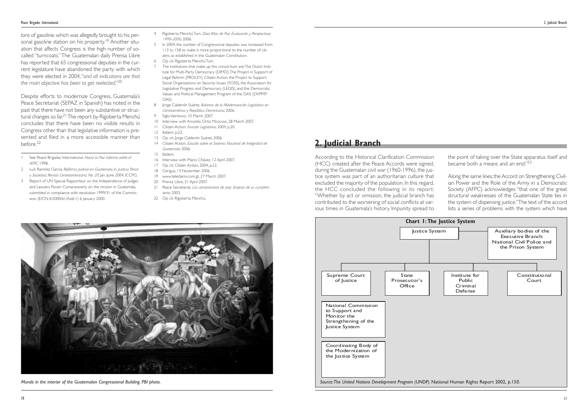the point of taking over the State apparatus itself and became both a means and an end."<sup>23</sup>

According to the Historical Clarification Commission (HCC) created after the Peace Accords were signed, during the Guatemalan civil war (1960-1996), the justice system was part of an authoritarian culture that excluded the majority of the population. In this regard, the HCC concluded the following in its report: "Whether by act or omission, the judicial branch has contributed to the worsening of social conflicts at various times in Guatemala's history. Impunity spread to

Along the same lines, the Accord on Strengthening Civilian Power and the Role of the Army in a Democratic Society (AFPC) acknowledges "that one of the great structural weaknesses of the Guatemalan State lies in the system of dispensing justice."The text of the accord lists a series of problems with the system which have

lons of gasoline, which was allegedly brought to his personal gasoline station on his property.<sup>19</sup> Another situation that affects Congress is the high number of socalled "turncoats."The Guatemalan daily Prensa Libre has reported that 65 congressional deputies in the current legislature have abandoned the party with which they were elected in 2004,"*and all indications are that the main objective has been to get reelected*."20

Despite efforts to modernize Congress, Guatemala's Peace Secretariat (SEPAZ in Spanish) has noted in the past that there have not been any substantive or structural changes so far.21The report by Rigoberta Menchú concludes that there have been no visible results in Congress other than that legislative information is presented and filed in a more accessible manner than before.22

1 See: Peace Brigadas International*. Hacia la Paz. Informe sobre el AFPC*, 1998.

- 2 Luís Ramírez García. *Reforma Judicial en Guatemala*, in*: Justicia Penal <sup>y</sup> Sociedad, Revista Centroamericana, No. <sup>20</sup>*, Jan.-June 2004, ICCPG.
- 3 Report of UN Special Rapporteur on the Independence of Judges and Lawyers Param Cumaraswamy on the mission in Guatemala, submitted in compliance with resolution 1999/31 of the Commission. (E/CN.4/2000/61/Add.1) 6 January 2000.
- 4 Rigoberta Menchú Tum. *Diez Años de Paz: Evaluación y Perspectivas 1996-2006*, 2006.
- In 2004, the number of Congressional deputies was increased from 113 to 158 to make it more proportional to the number of citizens, as established in the Guatemalan Constitution.
- 6 Op. cit. Rigoberta Menchú Tum.
- The institutions that make up this consortium are: The Dutch Institute for Multi-Party Democracy (DIMD),The Project in Support of Legal Reform (PROLEY), Citizen Action, the Project to Support Social Organizations on Security Issues (FOSS), the Association for Legislative Progress and Democracy (LEGIS), and the Democratic Values and Political Management Program of the OAS (DVPMP-OAS).
- 8 Jorge Calderón Suárez. *Balance de la Modernización Legislativa en Centroamérica y República Dominicana*, 2006.
- Siglo Veintiuno, 10 March 2007.
- 10 Interview with Arnoldo Ortiz Moscoso, 28 March 2007.
- 11 Citizen Action. *Función Legislativa*, 2004, p.20.
- 12 Ibídem. p.22.
- 13 Op. cit. Jorge Calderón Suárez, 2006.
- 14 Citizen Action. *Estudio sobre el Sistema Nacional de Integridad de Guatemala*, 2006.
- 15 Ibídem. 16 Interview with Mario Chávez, 12 April 2007.
- 17 Op. cit. Citizen Action, 2004, p.22.
- 18 Cerigua, 13 November 2006.
- 19 www.telediario.com.gt, 27 March 2007.
- 20 Prensa Libre, 21 April 2007.
- 21 Peace Secretariat. *Los compromisos de paz. Sinopsis de su cumplimiento*, 2003.
- 22 Op cit. Rigoberta Menchú.

## **2. Judicial Branch**



*Murals in the interior of the Guatemalan Congressional Building. PBI photo.*

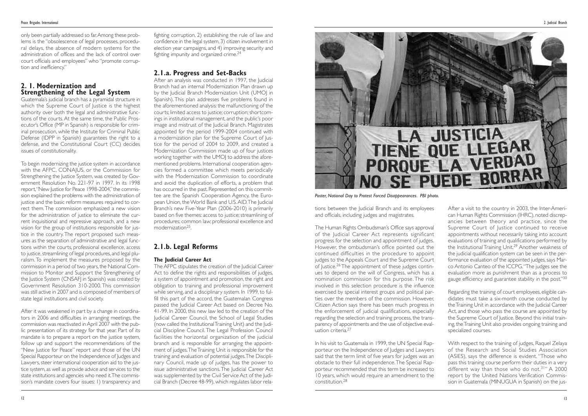tions between the Judicial Branch and its employees and officials, including judges and magistrates.

The Human Rights Ombudsman's Office says approval of the Judicial Career Act represents significant progress for the selection and appointment of judges. However, the ombudsman's office pointed out the continued difficulties in the procedure to appoint judges to the Appeals Court and the Supreme Court of Justice.<sup>26</sup> The appointment of these judges continues to depend on the will of Congress, which has a nomination commission for this purpose. The risk involved in this selection procedure is the influence exercised by special interest groups and political parties over the members of the commission. However, Citizen Action says there has been much progress in the enforcement of judicial qualifications, especially regarding the selection and training process, the transparency of appointments and the use of objective evaluation criteria.<sup>27</sup>

After a visit to the country in 2003, the Inter-American Human Rights Commission (IHRC), noted discrepancies between theory and practice, since the Supreme Court of Justice continued to receive appointments without necessarily taking into account evaluations of training and qualifications performed by the Institutional Training Unit.<sup>29</sup> Another weakness of the judicial qualification system can be seen in the performance evaluation of the appointed judges, says Marco Antonio Canteo of the ICCPG."The judges see the evaluation more as punishment than as a process to gauge efficiency and guarantee stability in the post."30

In his visit to Guatemala in 1999, the UN Special Rapporteur on the Independence of Judges and Lawyers said that the term limit of five years for judges was an obstacle to their full independence.The Special Rapporteur recommended that this term be increased to 10 years, which would require an amendment to the constitution.<sup>28</sup>

Regarding the training of court employees, eligible candidates must take a six-month course conducted by the Training Unit in accordance with the Judicial Career Act, and those who pass the course are appointed by the Supreme Court of Justice. Beyond this initial training, the Training Unit also provides ongoing training and specialized courses.

With respect to the training of judges, Raquel Zelaya of the Research and Social Studies Association (ASIES), says the difference is evident. "Those who pass this training course perform their duties in a very different way than those who do not.<sup>31</sup> A 2000 report by the United Nations Verification Commission in Guatemala (MINUGUA in Spanish) on the jus-

only been partially addressed so far.Among these problems is the "obsolescence of legal processes, procedural delays, the absence of modern systems for the administration of offices and the lack of control over court officials and employees" who "promote corruption and inefficiency."

## **2. 1. Modernization and Strengthening of the Legal System**

Guatemala's judicial branch has a pyramidal structure in which the Supreme Court of Justice is the highest authority over both the legal and administrative functions of the courts.At the same time, the Public Prosecutor's Office (MP in Spanish) is responsible for criminal prosecution, while the Institute for Criminal Public Defense (IDPP in Spanish) guarantees the right to a defense, and the Constitutional Court (CC) decides issues of constitutionality.

After an analysis was conducted in 1997, the Judicial Branch had an internal Modernization Plan drawn up by the Judicial Branch Modernization Unit (UMOJ in Spanish). This plan addresses five problems found in the aforementioned analysis: the malfunctioning of the courts; limited access to justice; corruption; shortcomings in institutional management, and the public's poor image and mistrust of the Judicial Branch. Magistrates appointed for the period 1999-2004 continued with a modernization plan for the Supreme Court of Justice for the period of 2004 to 2009, and created a Modernization Commission made up of four justices working together with the UMOJ to address the aforementioned problems. International cooperation agencies formed a committee which meets periodically with the Modernization Commission to coordinate and avoid the duplication of efforts, a problem that has occurred in the past. Represented on this committee are the Spanish Cooperation Agency, the European Union, the World Bank and U.S.AID.The Judicial Branch's new Five-Year Plan (2006-2010) is primarily based on five themes: access to justice; streamlining of procedures; common law; professional excellence and modernization25.

To begin modernizing the justice system in accordance with the AFPC, CONAJUS, or the Commission for Strengthening the Justice System, was created by Government Resolution No. 221-97 in 1997. In its 1998 report, "New Justice for Peace 1998-2004," the commission explained the problems with the administration of justice and the basic reform measures required to correct them.The commission emphasized a new vision for the administration of justice to eliminate the current inquisitional and repressive approach, and a new vision for the group of institutions responsible for justice in the country.The report proposed such measures as the separation of administrative and legal functions within the courts, professional excellence, access to justice, streamlining of legal procedures, and legal pluralism. To implement the measures proposed by the commission in a period of two years, the National Commission to Monitor and Support the Strengthening of the Justice System (CNSAFJ in Spanish) was created by Government Resolution 310-2000. This commission was still active in 2007 and is composed of members of state legal institutions and civil society.

After it was weakened in part by a change in coordinators in 2006 and difficulties in arranging meetings, the commission was reactivated in April 2007 with the public presentation of its strategy for that year. Part of its mandate is to prepare a report on the justice system, follow up and support the recommendations of the "New Justice for Peace" report and those of the UN Special Rapporteur on the Independence of Judges and Lawyers, steer international cooperation aid to the justice system,as well as provide advice and services to the state institutions and agencies who need it.The commission's mandate covers four issues: 1) transparency and fighting corruption, 2) establishing the rule of law and confidence in the legal system, 3) citizen involvement in election year campaigns, and 4) improving security and fighting impunity and organized crime.24

## **2.1.a. Progress and Set-Backs**

## **2.1.b. Legal Reforms**

#### **The Judicial Career Act**

The AFPC stipulates the creation of the Judicial Career Act to define the rights and responsibilities of judges, a system of appointment and promotion, the right and obligation to training and professional improvement while serving, and a disciplinary system. In 1999, to fulfill this part of the accord, the Guatemalan Congress passed the Judicial Career Act based on Decree No. 41-99. In 2000, this new law led to the creation of the Judicial Career Council, the School of Legal Studies (now called the Institutional Training Unit) and the Judicial Discipline Council. The Legal Profession Council facilities the horizontal organization of the judicial branch and is responsible for arranging the appointment of judges.The Training Unit is responsible for the training and evaluation of potential judges.The Disciplinary Council, made up of judges, has the power to issue administrative sanctions.The Judicial Career Act was supplemented by the Civil Service Act of the Judicial Branch (Decree 48-99), which regulates labor rela-



#### *Poster, National Day to Protest Forced Disappearances. PBI photo.*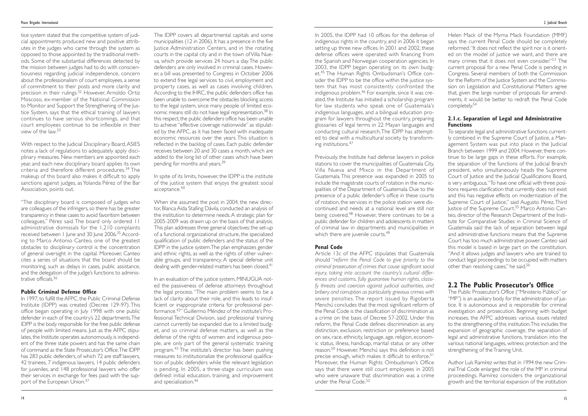In 2005, the IDPP had 10 offices for the defense of indigenous rights in the country, and in 2006 it began setting up three new offices. In 2001 and 2002, these defense offices were operated with financing from the Spanish and Norwegian cooperation agencies. In 2003, the IDPP began operating on its own budget.<sup>45</sup> The Human Rights Ombudsman's Office consider the IDPP to be the office within the justice system that has most consistently confronted the indigenous problem.<sup>46</sup> For example, since it was created, the Institute has initiated a scholarship program for law students who speak one of Guatemala's indigenous languages, and a bilingual education program for lawyers throughout the country, preparing glossaries of legal terms in 22 Mayan languages and conducting cultural research.The IDPP has attempted to deal with a multicultural society by transforming institutions.<sup>47</sup>

Previously, the Institute had defense lawyers in police stations to cover the municipalities of Guatemala City, Villa Nueva and Mixco in the Department of Guatemala. This presence was expanded in 2005 to include the magistrate courts of rotation in the municipalities of the Department of Guatemala. Due to the presence of a public defender's office in these courts of rotation, the services in the police station were discontinued and needs at a national level are still not being covered.<sup>48</sup> However, there continues to be a public defender for children and adolescents in matters of criminal law in departments and municipalities in which there are juvenile courts.<sup>49</sup>

#### **Penal Code**

To separate legal and administrative functions currently combined in the Supreme Court of Justice, a Management System was put into place in the Judicial Branch between 1999 and 2004. However, there continue to be large gaps in these efforts. For example, the separation of the functions of the Judicial Branch president, who simultaneously heads the Supreme Court of Justice and the Judicial Qualifications Board, is very ambiguous."To have one official with three positions requires clarification that currently does not exist and this has negative effects on modernization of the Supreme Court of Justice," said Augusto Pérez,Third Justice of the Supreme Court.55 Marco Antonio Canteo, director of the Research Department of the Institute for Comparative Studies in Criminal Science of Guatemala said the lack of separation between legal and administrative functions means that the Supreme Court has too much administrative power. Canteo said this model is based in large part on the constitution. "And it allows judges and lawyers who are trained to conduct legal proceedings to be occupied with matters other than resolving cases," he said.<sup>56</sup>

Article 13c of the AFPC stipulates that Guatemala should "*reform the Penal Code to give priority to the criminal prosecution of crimes that cause significant social injury, taking into account the country's cultural differences and customs, fully guarantee human rights, classify threats and coercion against judicial authorities, and bribery and corruption as particularly grievous crimes with severe penalties*. The report issued by Rigoberta Menchú concludes that the most significant reform of the Penal Code is the classification of discrimination as a crime on the basis of Decree 57-2002. Under this reform, the Penal Code defines discrimination as any distinction, exclusion, restriction or preference based on sex, race, ethnicity, language, age, religion, economic status, illness, handicap, marital status or any other reason.<sup>50</sup> However, Menchú says this definition is not precise enough, which makes it difficult to enforce.<sup>51</sup> Moreover, the Human Rights Ombudsman's Office says that there were still court employees in 2005 who were unaware that discrimination was a crime under the Penal Code. 52

Helen Mack of the Myrna Mack Foundation (MMF) says the current Penal Code should be completely reformed."It does not reflect the spirit nor is it oriented on the model of justice we want, and there are many crimes that it does not even consider."*<sup>53</sup>* The current proposal for a new Penal Code is pending in Congress. Several members of both the Commission for the Reform of the Justice System and the Commission on Legislation and Constitutional Matters agree that, given the large number of proposals for amendments, it would be better to redraft the Penal Code completely.54

"The disciplinary board is composed of judges who are colleagues of the infringers,so there has be greater transparency in these cases to avoid favoritism between colleagues," Pérez said. The board only ordered 11 administrative dismissals for the 1,210 complaints received between 1 June and 30 June 2006.<sup>35</sup> According to Marco Antonio Canteo, one of the greatest obstacles to disciplinary control is the concentration of general oversight in the capital. Moreover, Canteo cites a series of situations that the board should be monitoring, such as delays in cases, public assistance, and the delegation of the judge's functions to administrative officials 36

#### **2.1.c. Separation of Legal and Administrative Functions**

In 1997, to fulfill the AFPC, the Public Criminal Defense Institute (IDPP) was created (Decree 129-97). This office began operating in July 1998 with one public defender in each of the country's 22 departments.The IDPP is the body responsible for the free public defense of people with limited means. Just as the AFPC stipulates, the Institute operates autonomously, is independent of the three state powers and has the same chain of command as the State Prosecutor's Office.The IDPP has 283 public defenders, of which 72 are staff lawyers, 42 trainees, 7 indigenous lawyers, 14 public defenders for juveniles, and 148 professional lawyers who offer their services in exchange for fees paid with the support of the European Union.<sup>37</sup>

## **2.2 The Public Prosecutor's Office**

When she assumed the post in 2004, the new director, Blanca Aída Stalling Dávila, conducted an analysis of the institution to determine needs.A strategic plan for 2005-2009 was drawn up on the basis of that analysis. This plan addresses three general objectives: the set-up of a functional organizational structure, the specialized qualification of public defenders and the status of the IDPP in the justice system.The plan emphasizes gender and ethnic rights, as well as the rights of other vulnerable groups, and transparency. A special defense unit dealing with gender-related matters has been closed.<sup>41</sup>

> The Public Prosecutor's Office ("Ministerio Público" or "MP") is an auxiliary body for the administration of justice. It is autonomous and is responsible for criminal investigation and prosecution. Beginning with budget increases, the AFPC addresses various issues related to the strengthening of this institution.This includes the expansion of geographic coverage, the separation of legal and administrative functions, translation into the various national languages, witness protection and the strengthening of the Training Unit.

> Author Luís Ramírez writes that in 1994 the new Criminal Trial Code enlarged the role of the MP in criminal proceedings. Ramírez considers the organizational growth and the territorial expansion of the institution

In an evaluation of the justice system, MINUGUA noted the passiveness of defense attorneys throughout the legal process. "The main problem seems to be a lack of clarity about their role, and this leads to insufficient or inappropriate criteria for professional performance.42" Guillermo Méndez of the institute's Professional Technical Division, said professional training cannot currently be expanded due to a limited budget, and so criminal defense matters, as well as the defense of the rights of women and indigenous people, are only part of the general systematic training program.<sup>43</sup> The institute's director has been pushing measures to institutionalize the professional qualification of public defenders while the relevant legislation is pending. In 2005, a three-stage curriculum was defined: initial education, training, and improvement and specialization.<sup>44</sup>

tice system stated that the competitive system of judicial appointments produced new and positive attributes in the judges who came through the system as opposed to those appointed by the traditional methods. Some of the substantial differences detected by the mission between judges had to do with conscientiousness regarding judicial independence, concern about the professionalism of court employees, a sense of commitment to their posts and more clarity and precision in their rulings.<sup>32</sup> However, Arnoldo Ortiz Moscoso, ex-member of the National Commission to Monitor and Support the Strengthening of the Justice System, says that the ethical training of lawyers continues to have serious shortcomings, and that court employees continue to be inflexible in their view of the law.<sup>33</sup>

With respect to the Judicial Disciplinary Board,ASIES notes a lack of regulations to adequately apply disciplinary measures. New members are appointed each year, and each new disciplinary board applies its own criteria and therefore different procedures.<sup>34</sup> The makeup of this board also makes it difficult to apply sanctions against judges, as Yolanda Pérez of the Bar Association, points out.

#### **Public Criminal Defense Office**

The IDPP covers all departmental capitals and some municipalities (12 in 2006). It has a presence in the five Justice Administration Centers, and in the rotating courts in the capital city and in the town of Villa Nueva, which provide services 24 hours a day.The public defenders are only involved in criminal cases. However, a bill was presented to Congress in October 2006 to extend free legal services to civil, employment and property cases, as well as cases involving children. According to the IHRC, the public defenders office has been unable to overcome the obstacles blocking access to the legal system, since many people of limited economic means still do not have legal representation.38 In this respect, the public defenders office has been unable to achieve "effective coverage nationwide" as stipulated by the AFPC, as it has been faced with inadequate economic resources over the years. This situation is reflected in the backlog of cases. Each public defender receives between 20 and 30 cases a month, which are added to the long list of other cases which have been pending for months and years.39

In spite of its limits, however, the IDPP is the institute of the justice system that enjoys the greatest social acceptance. 40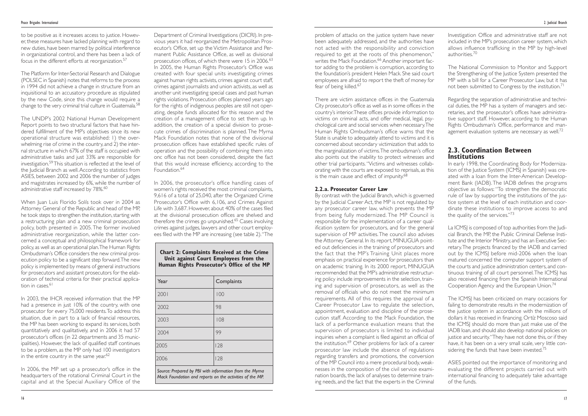There are victim assistance offices in the Guatemala City prosecutor's office as well as in some offices in the country's interior.These offices provide information to victims on criminal acts, and offer medical, legal, psychological care and social services when necessary.The Human Rights Ombudsman's office warns that the State is unable to adequately attend to victims and it is concerned about secondary victimization that adds to the marginalization of victims.The ombudsman's office also points out the inability to protect witnesses and other trial participants."Victims and witnesses collaborating with the courts are exposed to reprisals, as this is the main cause and effect of impunity.<sup>68</sup>

#### **2.2.a. Prosecutor Career Law**

Investigation Office and administrative staff are not included in the MP's prosecution career system, which allows influence trafficking in the MP by high-level authorities<sup>70</sup>

The National Commission to Monitor and Support the Strengthening of the Justice System presented the MP with a bill for a Career Prosecutor Law, but it has not been submitted to Congress by the institution.<sup>71</sup>

Regarding the separation of administrative and technical duties, the MP has a system of managers and secretaries, and the prosecutor's offices have administrative support staff. However, according to the Human Rights Ombudsman's Office, performance and management evaluation systems are necessary as well.<sup>72</sup>

In early 1998, the Coordinating Body for Modernization of the Justice System (ICMSJ in Spanish) was created with a loan from the Inter-American Development Bank (IADB).The IADB defines the programs objective as follows:"To strengthen the democratic rule of law by supporting the institutions of the justice system at the level of each institution and coordinate these institutions to improve access to and the quality of the services."<sup>73</sup>

By contrast with the Judicial Branch, which is governed by the Judicial Career Act, the MP is not regulated by any prosecutor career law, which prevents the MP from being fully modernized. The MP Council is responsible for the implementation of a career qualification system for prosecutors, and for the general supervision of MP activities.The council also advises the Attorney General. In its report, MINUGUA pointed out deficiencies in the training of prosecutors and the fact that the MP's Training Unit places more emphasis on practical experience for prosecutors than on academic training. In its 2000 report, MINUGUA recommended that the MP's administrative restructuring policy include improvements in the selection, training and supervision of prosecutors, as well as the removal of officials who do not meet the minimum requirements. All of this requires the approval of a Career Prosecutor Law to regulate the selection, appointment, evaluation and discipline of the prosecution staff. According to the Mack Foundation, the lack of a performance evaluation means that the supervision of prosecutors is limited to individual inquiries when a complaint is filed against an official of the institution.<sup>69</sup> Other problems for lack of a career prosecutor law include the absence of regulations regarding transfers and promotions, the conversion of the MP Council into a mere procedural body, weaknesses in the composition of the civil service examination boards, the lack of analyses to determine training needs, and the fact that the experts in the Criminal

La ICMSJ is composed of top authorities from the Judicial Branch, the MP, the Public Criminal Defense Institute and the Interior Ministry, and has an Executive Secretary.The projects financed by the IADB and carried out by the ICMSJ before mid-2006 when the loan matured concerned the computer support system of the courts and justice administration centers, and continuous training of all court personnel. The ICMSJ has also received financing from the Spanish International Cooperation Agency and the European Union.74

The ICMSJ has been criticized on many occasions for failing to demonstrate results in the modernization of the justice system in accordance with the millions of dollars it has received in financing. Ortíz Moscoso said the ICMSJ should do more than just make use of the IADB loan, and should also develop national policies on justice and security. "They have not done this, or if they have, it has been on a very small scale, very little considering the funds that have been invested.<sup>75</sup>

The Platform for Inter-Sectorial Research and Dialogue (POLSEC in Spanish) notes that reforms to the process in 1994 did not achieve a change in structure from an inquisitional to an accusatory procedure as stipulated by the new Code, since this change would require a change to the very criminal trial culture in Guatemala.<sup>58</sup>

The UNDP's 2002 National Human Development Report points to two structural factors that have hindered fulfillment of the MP's objectives since its new operational structure was established: 1) the overwhelming rise of crime in the country, and 2) the internal structure in which 67% of the staff is occupied with administrative tasks and just 33% are responsible for investigation.59This situation is reflected at the level of the Judicial Branch as well.According to statistics from ASIES, between 2002 and 2006 the number of judges and magistrates increased by 6%, while the number of administrative staff increased by 78%.<sup>60</sup>

When Juan Luis Florido Solís took over in 2004 as Attorney General of the Republic and head of the MP, he took steps to strengthen the institution, starting with a restructuring plan and a new criminal prosecution policy, both presented in 2005. The former involved administrative reorganization, while the latter concerned a conceptual and philosophical framework for policy, as well as an operational plan.The Human Rights Ombudsman's Office considers the new criminal prosecution policy to be a significant step forward.The new policy is implemented by means of general instructions for prosecutors and assistant prosecutors for the elaboration of technical criteria for their practical application in cases.<sup>61</sup>

## **2.3. Coordination Between Institutions**

In 2003, the IHCR received information that the MP had a presence in just 10% of the country, with one prosecutor for every 75,000 residents.To address this situation, due in part to a lack of financial resources, the MP has been working to expand its services, both quantitatively and qualitatively, and in 2006 it had 57 prosecutor's offices (in 22 departments and 35 municipalities). However, the lack of qualified staff continues to be a problem, as the MP only had 100 investigators in the entire country in the same year. $62$ 

In 2006, the MP set up a prosecutor's office in the headquarters of the rotational Criminal Court in the capital and at the Special Auxiliary Office of the Department of Criminal Investigations (DICRI). In previous years it had reorganized the Metropolitan Prosecutor's Office, set up the Victim Assistance and Permanent Public Assistance Office, as well as divisional prosecution offices, of which there were 15 in 2006.<sup>63</sup> In 2005, the Human Rights Prosecutor's Office was created with four special units investigating crimes against human rights activists, crimes against court staff, crimes against journalists and union activists, as well as another unit investigating special cases and past human rights violations. Prosecution offices planned years ago for the rights of indigenous peoples are still not operating, despite funds allocated for this reason and the creation of a management office to set them up. In addition, the creation of a special division to prosecute crimes of discrimination is planned. The Myrna Mack Foundation notes that none of the divisional prosecution offices have established specific rules of operation and the possibility of combining them into onc office has not been considered, despite the fact that this would increase efficiency, according to the Foundation.<sup>64</sup>

> ASIES pointed out the importance of monitoring and evaluating the different projects carried out with international financing to adequately take advantage of the funds.

to be positive as it increases access to justice. However, these measures have lacked planning with regard to new duties, have been marred by political interference in organizational control, and there has been a lack of focus in the different efforts at reorganization.57

> In 2006, the prosecutor's office handling cases of women's rights received the most criminal complaints, 9,616 of a total of 25,040, after the Organized Crime Prosecutor's Office with 6,106, and Crimes Against Life with 3,687. However, about 40% of the cases filed at the divisional prosecution offices are shelved and therefore the crimes go unpunished.<sup>65</sup> Cases involving crimes against judges, lawyers and other court employees filed with the MP are increasing (see table 2)."The

#### **Chart 2: Complaints Received at the Crime Unit against Court Employees from the Human Rights Prosecutor's Office of the MP**

| Year | Complaints |
|------|------------|
| 2001 | 100        |
| 2002 | 98         |
| 2003 | 108        |
| 2004 | 99         |
| 2005 | 128        |
| 2006 | 128        |
|      |            |

*Source: Prepared by PBI with information from the Myrna Mack Foundation and reports on the activities of the MP.*

problem of attacks on the justice system have never been adequately addressed, and the authorities have not acted with the responsibility and conviction required to get at the roots of this phenomenon," writes the Mack Foundation.<sup>66</sup> Another important factor adding to the problem is corruption, according to the foundation's president Helen Mack. She said court employees are afraid to report the theft of money for fear of being killed.<sup>67</sup>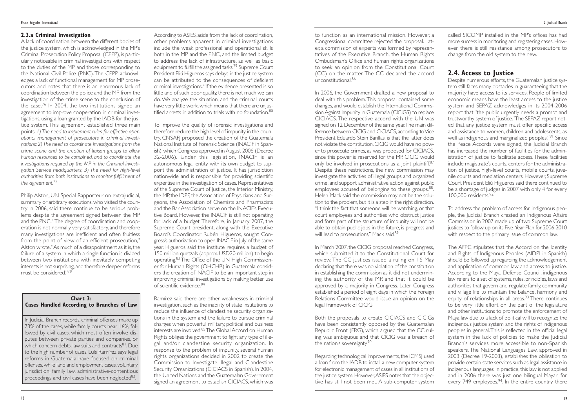to function as an international mission. However, a Congressional committee rejected the proposal. Later, a commission of experts was formed by representatives of the Executive Branch, the Human Rights Ombudsman's Office and human rights organizations to seek an opinion from the Constitutional Court (CC) on the matter. The CC declared the accord unconstitutional.<sup>86</sup>

In 2006, the Government drafted a new proposal to deal with this problem.This proposal contained some changes, and would establish the International Commission Against Impunity in Guatemala (CICIGS) to replace CICIACS. The respective accord with the UN was signed on 12 December of the same year.The main difference between CICIG and CICIACS, according to Vice President Eduardo Stein Barillas, is that the latter does not violate the constitution.CICIG would have no power to prosecute crimes, as was proposed for CICIACS, since this power is reserved for the MP. CICIG would only be involved in prosecutions as a joint plaintiff.<sup>87</sup> Despite these restrictions, the new commission may investigate the activities of illegal groups and organized crime, and support administrative action against public employees accused of belonging to these groups.<sup>88</sup>. Helen Mack said the commission may not be the solution to the problem, but it is a step in the right direction. "I think the fact that someone will be watching, or that court employees and authorities who obstruct justice and form part of the structure of impunity will not be able to obtain public jobs in the future, is progress and will lead to prosecutions," Mack said.<sup>89</sup>

In March 2007, the CICIG proposal reached Congress, which submitted it to the Constitutional Court for review. The CC justices issued a ruling on 16 May declaring that there was no violation of the constitution in establishing the commission as it did not undermining the authority of the MP, and that it could be approved by a majority in Congress. Later, Congress established a period of eight days in which the Foreign Relations Committee would issue an opinion on the legal framework of CICIG.

The AFPC stipulates that the Accord on the Identity and Rights of Indigenous Peoples (AIDPI in Spanish) should be followed up regarding the acknowledgement and application of common law and access to justice. According to the Maya Defense Council, indigenous law refers to a set of systems, rules, principles, laws and authorities that govern and regulate family, community and village life to maintain the balance, harmony and equity of relationships in all areas. $93$  There continues to be very little effort on the part of the legislature and other institutions to promote the enforcement of Maya law due to a lack of political will to recognize the indigenous justice system and the rights of indigenous peoples in general.This is reflected in the official legal system in the lack of policies to make the Judicial Branch's services more accessible to non-Spanish speakers. The National Languages Law, approved in 2003 (Decree 19-2003), establishes the obligation to provide certain state services such as legal assistance in indigenous languages. In practice, this law is not applied and in 2006 there was just one bilingual Mayan for every 749 employees.<sup>94</sup>. In the entire country, there

Both the proposals to create CICIACS and CICIGs have been consistently opposed by the Guatemalan Republic Front (FRG), which argued that the CC ruling was ambiguous and that CICIG was a breach of the nation's sovereignty.90

Regarding technological improvements, the ICMSJ used a loan from the IADB to install a new computer system for electronic management of cases in all institutions of the justice system.However,ASIES notes that the objective has still not been met. A sub-computer system

called SICOMP installed in the MP's offices has had more success in monitoring and registering cases. However, there is still resistance among prosecutors to change from the old system to the new.

## **2.4. Access to Justice**

Despite numerous efforts, the Guatemalan justice system still faces many obstacles in guaranteeing that the majority have access to its services. People of limited economic means have the least access to the justice system and SEPAZ acknowledges in its 2004-2006 report that "the public urgently needs a prompt and trustworthy system of justice."The SEPAZ report noted that any justice system must offer specific access and assistance to women, children and adolescents, as well as indigenous and marginalized peoples."<sup>91</sup> Since the Peace Accords were signed, the Judicial Branch has increased the number of facilities for the administration of justice to facilitate access.These facilities include magistrate's courts, centers for the administration of justice, high-level courts, mobile courts, juvenile courts and mediation centers. However, Supreme Court President Eliú Higueros said there continued to be a shortage of judges in 2007 with only 4 for every 100,000 residents.<sup>92</sup>

To address the problem of access for indigenous people, the Judicial Branch created an Indigenous Affairs Commission in 2007 made up of two Supreme Court justices to follow up on its Five-Year Plan for 2006-2010 with respect to the primary issue of common law.

In Judicial Branch records, criminal offenses make up 73% of the cases, while family courts hear 16%, followed by civil cases, which most often involve disputes between private parties and companies, or which concern debts, law suits and contracts<sup>81</sup>. Due to the high number of cases, Luís Ramírez says legal reforms in Guatemala have focused on criminal offenses, while land and employment cases, voluntary jurisdiction, family law, administrative-contentious proceedings and civil cases have been neglected<sup>82</sup>.

#### **2.3.a Criminal Investigation**

A lack of coordination between the different bodies of the justice system, which is acknowledged in the MP's Criminal Prosecution Policy Proposal (CPPP), is particularly noticeable in criminal investigations with respect to the duties of the MP and those corresponding to the National Civil Police (PNC).The CPPP acknowledges a lack of functional management for MP prosecutors and notes that there is an enormous lack of coordination between the police and the MP from the investigation of the crime scene to the conclusion of the case.<sup>76</sup> In 2004, the two institutions signed an agreement to improve cooperation in criminal investigations, using a loan granted by the IADB for the justice system. This agreement established three main points: *1) The need to implement rules for effective operational management of prosecutors in criminal investigations; 2) The need to coordinate investigations from the crime scene and the creation of liaison groups to allow human resources to be combined, and to coordinate the investigations required by the MP in the Criminal Investigation Service headquarters; 3) The need for high-level authorities from both institutions to monitor fulfillment of the agreement.*<sup>77</sup>

Philip Alston, UN Special Rapporteur on extrajudicial, summary or arbitrary executions, who visited the country in 2006, said there continue to be serious problems despite the agreement signed between the MP and the PNC."The degree of coordination and cooperation is not normally very satisfactory, and therefore many investigations are inefficient and often fruitless from the point of view of an efficient prosecution," Alston wrote."As much of a disappointment as it is, the failure of a system in which a single function is divided between two institutions with inevitably competing interests is not surprising, and therefore deeper reforms must be considered."<sup>78</sup>

According to ASIES, aside from the lack of coordination, other problems apparent in criminal investigations include the weak professional and operational skills both in the MP and the PNC, and the limited budget to address the lack of infrastructure, as well as basic equipment to fulfill the assigned tasks.<sup>79</sup> Supreme Court President Eliú Higueros says delays in the justice system can be attributed to the consequences of deficient criminal investigations."If the evidence presented is so little and of such poor quality, there is not much we can do. We analyze the situation, and the criminal courts have very little work, which means that there are unjustified arrests in addition to trials with no foundation.80

To improve the quality of forensic investigations and therefore reduce the high level of impunity in the country, CNSAFJ proposed the creation of the Guatemala National Institute of Forensic Science (INACIF in Spanish), which Congress approved in August 2006 (Decree 32-2006). Under this legislation, INACIF is an autonomous legal entity with its own budget to support the administration of justice. It has jurisdiction nationwide and is responsible for providing scientific expertise in the investigation of cases. Representatives of the Supreme Court of Justice, the Interior Ministry, the MP, the IDPP, the Association of Physicians and Surgeons, the Association of Chemists and Pharmacists and the Bar Association serve on the INACIF's Executive Board. However, the INACIF is still not operating for lack of a budget. Therefore, in January 2007, the Supreme Court president, along with the Executive Board's Coordinator Rubén Higueros, sought Congress's authorization to open INACIF in July of the same year. Higueros said the institute requires a budget of 150 million quetzals (approx. USD20 million) to begin operating.83 The Office of the UN High Commissioner for Human Rights (OHCHR) in Guatemala considers the creation of INACIF to be an important step in improving criminal investigations by making better use of scientific evidence.84

Ramírez said there are other weaknesses in criminal investigation, such as the inability of state institutions to reduce the influence of clandestine security organizations in the system and the failure to pursue criminal charges when powerful military, political and business interests are involved.<sup>85</sup> The Global Accord on Human Rights obliges the government to fight any type of illegal and/or clandestine security organization. In response to the problem of impunity, several human rights organizations decided in 2002 to create the Commission to Investigate Illegal and Clandestine Security Organizations (CICIACS in Spanish). In 2004, the United Nations and the Guatemalan Government signed an agreement to establish CICIACS, which was

#### **Chart 3: Cases Handled According to Branches of Law**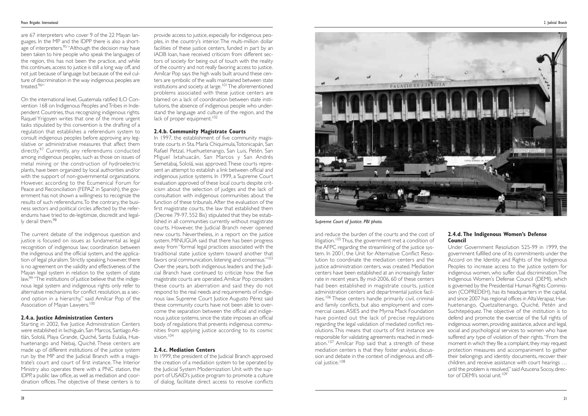Under Government Resolution 525-99 in 1999, the government fulfilled one of its commitments under the Accord on the Identity and Rights of the Indigenous Peoples to increase access to the justice system for indigenous women, who suffer dual discrimination.The Indigenous Women's Defense Council (DEMI), which is governed by the Presidential Human Rights Commission (COPREDEH), has its headquarters in the capital, and since 2007 has regional offices in Alta Verapaz, Huehuetenango, Quetzaltenango, Quiché, Petén and Suchitepéquez. The objective of the institution is to defend and promote the exercise of the full rights of indigenous women, providing assistance, advice and legal, social and psychological services to women who have suffered any type of violation of their rights."From the moment in which they file a complaint, they may request protection measures and accompaniment to gather their belongings and identity documents, recover their children, and receive assistance with court hearings … until the problem is resolved," said Azucena Socoy, director of DEMI's social unit.<sup>109</sup>

#### **2.4.d. The Indigenous Women's Defense Council**

are 67 interpreters who cover 9 of the 22 Mayan languages. In the MP and the IDPP there is also a shortage of interpreters.<sup>95</sup> "Although the decision may have been taken to hire people who speak the languages of the region, this has not been the practice, and while this continues, access to justice is still a long way off, and not just because of language but because of the evil culture of discrimination in the way indigenous peoples are treated<sup>96"</sup>

On the international level, Guatemala ratified ILO Convention 168 on Indigenous Peoples and Tribes in Independent Countries, thus recognizing indigenous rights. Raquel Yrigoyen writes that one of the more urgent tasks stipulated by this convention is the drafting of a regulation that establishes a referendum system to consult indigenous peoples before approving any legislative or administrative measures that affect them directly.<sup>97</sup> Currently, any referendums conducted among indigenous peoples, such as those on issues of metal mining or the construction of hydroelectric plants, have been organized by local authorities and/or with the support of non-governmental organizations. However, according to the Ecumenical Forum for Peace and Reconciliation (FEPAZ in Spanish), the government has not shown a willingness to recognize the results of such referendums.To the contrary, the business sectors and political circles affected by the referendums have tried to de-legitimize, discredit and legally derail them.<sup>98</sup>

The current debate of the indigenous question and justice is focused on issues as fundamental as legal recognition of indigenous law; coordination between the indigenous and the official system, and the application of legal pluralism. Strictly speaking, however, there is no agreement on the validity and effectiveness of the Mayan legal system in relation to the system of state law.99 "The institutions of justice believe that the indigenous legal system and indigenous rights only refer to alternative mechanisms for conflict resolution, as a second option in a hierarchy," said Amílcar Pop of the Association of Mayan Lawyers.<sup>100</sup>

Starting in 2002, five Justice Administration Centers were established in Ixchiguán, San Marcos, Santiago Atitlán, Sololá, Playa Grande, Quiché, Santa Eulalia, Huehuetenango and Nebaj, Quiché. These centers are made up of different institutions of the justice system run by the MP and the Judicial Branch with a magistrate's court and court of first instance. The Interior Ministry also operates there with a PNC station, the IDPP, a public law office, as well as mediation and coordination offices. The objective of these centers is to provide access to justice, especially for indigenous peoples, in the country's interior. The multi-million dollar facilities of these justice centers, funded in part by an IADB loan, have received criticism from different sectors of society for being out of touch with the reality of the country and not really favoring access to justice. Amílcar Pop says the high walls built around these centers are symbolic of the walls maintained between state institutions and society at large.<sup>101</sup> The aforementioned problems associated with these justice centers are blamed on a lack of coordination between state institutions, the absence of indigenous people who understand the language and culture of the region, and the lack of proper equipment.<sup>102</sup>

#### **2.4.a. Justice Administration Centers**

#### **2.4.b. Community Magistrate Courts**

In 1997, the establishment of five community magistrate courts in Sta. María Chiquimula,Totonicapán, San Rafael Petzal, Huehuetenango, San Luis, Petén, San Miguel Ixtahuacán, San Marcos y San Andrés Semetabaj, Sololá, was approved.These courts represent an attempt to establish a link between official and indigenous justice systems. In 1999, a Supreme Court evaluation approved of these local courts despite criticism about the selection of judges and the lack of consultation with indigenous communities about the function of these tribunals.After the evaluation of the first magistrate courts, the law that established them (Decree 79-97, 552 Bis) stipulated that they be established in all communities currently without magistrate courts. However, the Judicial Branch never opened new courts. Nevertheless, in a report on the justice system, MINUGUA said that there has been progress away from "formal legal practices associated with the traditional state justice system toward another that favors oral communication, listening and consensus."<sup>103</sup> Over the years, both indigenous leaders and the Judicial Branch have continued to criticize how the five magistrate courts are operated.Amílcar Pop considers these courts an aberration and said they do not respond to the real needs and requirements of indigenous law. Supreme Court Justice Augusto Pérez said these community courts have not been able to overcome the separation between the official and indigenous justice systems, since the state imposes an official body of regulations that prevents indigenous communities from applying justice according to its cosmic vision<sup>104</sup>

#### **2.4.c. Mediation Centers**

In 1999, the president of the Judicial Branch approved the creation of a mediation system to be operated by the Judicial System Modernization Unit with the support of USAID's justice program to promote a culture of dialog, facilitate direct access to resolve conflicts



*Supreme Court of Justice. PBI photo.*

and reduce the burden of the courts and the cost of litigation.<sup>105</sup> Thus, the government met a condition of the AFPC regarding the streamlining of the justice system. In 2001, the Unit for Alternative Conflict Resolution to coordinate the mediation centers and the justice administration centers, was created. Mediation centers have been established at an increasingly faster rate in recent years. By mid-2006, 60 of these centers had been established in magistrate courts, justice administration centers and departmental justice facilities.<sup>106</sup> These centers handle primarily civil, criminal and family conflicts, but also employment and commercial cases.ASIES and the Myrna Mack Foundation have pointed out the lack of precise regulations regarding the legal validation of mediated conflict resolutions.This means that courts of first instance are responsible for validating agreements reached in mediation.<sup>107</sup> Amílcar Pop said that a strength of these mediation centers is that they foster analysis, discussion and debate in the context of indigenous and official justice.<sup>108</sup>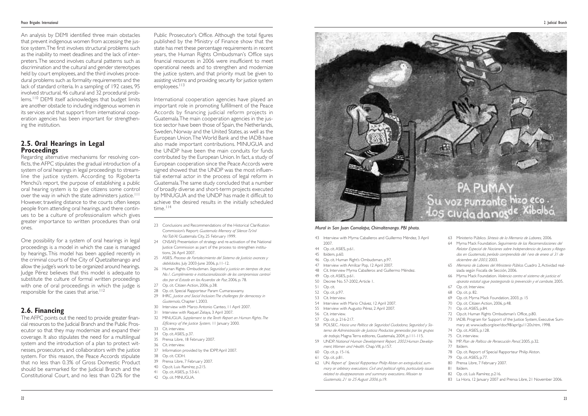- 43 Interview with Myrna Caballeros and Guillermo Méndez, 3 April 2007.
- 44 Op. cit. ASIES, p.61.
- 45 Ibídem, p.60.
- 46 Op. cit. Human Right's Ombudsman, p.97.
- 47 Interview with Amílcar Pop, 12 April 2007.
- 48 Cit. Interview Myrna Caballeros and Guillermo Méndez.
- 49 Op. cit. ASIES, p.61.
- 50 Decree No. 57-2002,Article 1.
- 51 Op. cit.
- 52 Op. cit. p.97.
- 53 Cit. Interview.
- 54 Interview with Mario Chávez, 12 April 2007.
- 55 Interview with Augusto Pérez, 2 April 2007.
- 56 Cit. interview.
- 57 Op. cit. p. 216-217.
- 58 POLSEC. *Hacia una Política de Seguridad Ciudadana, Seguridad y Sistema de Administración de Justicia: Productos generados por los grupos de trabajo*, Magna Terra editores, Guatemala, 2004, p.111-115.
- 59 UNDP. *National Human Development Report, 2002.Human Development,Women and Health.* Chap.VIII, p.157.
- 60 Op. cit. p. 15-16.
- 61 Op. cit. p.81.
- 62 UN. *Report of Special Rapporteur Philip Alston on extrajudicial, summary or arbitrary executions. Civil and political rights, particularly issues related to disappearances and summary executions. Mission to Guatemala, 21 to 25 August 2006*, p.19.
- 63 Ministerio Público. *Síntesis de la Memoria de Labores,* 2006.
- 64 Myrna Mack Foundation. *Seguimiento de las Recomendaciones del Relator Especial de Naciones sobre Independencia de Jueces y Abogados en Guatemala, período comprendido del 1ero de enero al 31 de diciembre del 2003,* 2003.
- 65 *Memoria de Labores del Ministerio Público.* Cuadro 2,Actividad realizada según Fiscalía de Sección, 2006.
- 66 Myrna Mack Foundation. *Violencia contra el sistema de justicia: el aparato estatal sigue postergando la prevención y el combate*, 2005.
- 67 Op. cit. Interview.
- 68 Op. cit. p. 82.
- 69 Op. cit. Myrna Mack Foundation, 2003, p. 15
- 70 Op. cit. Citizen Action, 2006, p.48.
- 71 Op. cit. ASIES, p.84.
- 72 Op.cit. Human Rights Ombudsman's Office, p.80.
- 73 IADB. Program for Support of the Justice System, Executive Summary at: www.iadb.org/exr/doc98/apr/gu1120s.htm, 1998.
- 74 Op. cit.ASIES, p.128.
- 75 Cit. interview.
- 76 MP. *Plan de Política de Persecución Penal*, 2005, p.32.
- 77 Ibídem.
- 78 Op. cit. Report of Special Rapporteur Philip Alston.
- 79 Op. cit. ASIES, p.77.
- 80 Prensa Libre, 7 February 2007.
- 81 Ibídem.
- 82 Op. cit. Luís Ramírez, p.216.
- 83 La Hora, 12 January 2007 and Prensa Libre, 21 November 2006.

One possibility for a system of oral hearings in legal proceedings is a model in which the case is managed by hearings. This model has been applied recently in the criminal courts of the City of Quetzaltenango and allow the judge's work to be organized around hearings. Judge Pérez believes that this model is adequate to substitute the culture of formal written proceedings with one of oral proceedings in which the judge is responsible for the cases that arise.<sup>112</sup>

Public Prosecutor's Office. Although the total figures published by the Ministry of Finance show that the state has met these percentage requirements in recent years, the Human Rights Ombudsman's Office says financial resources in 2006 were insufficient to meet operational needs and to strengthen and modernize the justice system, and that priority must be given to assisting victims and providing security for justice system employees.<sup>113</sup>

An analysis by DEMI identified three main obstacles that prevent indigenous women from accessing the justice system.The first involves structural problems such as the inability to meet deadlines and the lack of interpreters.The second involves cultural patterns such as discrimination and the cultural and gender stereotypes held by court employees, and the third involves procedural problems such as formality requirements and the lack of standard criteria. In a sampling of 192 cases, 95 involved structural, 46 cultural and 32 procedural problems.<sup>110</sup> DEMI itself acknowledges that budget limits are another obstacle to including indigenous women in its services and that support from international cooperation agencies has been important for strengthening the institution.

# **2.5. Oral Hearings in Legal Proceedings**

Regarding alternative mechanisms for resolving conflicts, the AFPC stipulates the gradual introduction of a system of oral hearings in legal proceedings to streamline the justice system. According to Rigoberta Menchú's report, the purpose of establishing a public oral hearing system is to give citizens some control over the way in which the state administers justice.<sup>111</sup> However, traveling distance to the courts often keeps people from attending oral hearings, and there continues to be a culture of professionalism which gives greater importance to written procedures than oral ones.

- 23 Conclusions and Recommendations of the Historical Clarification Commission's Report: *Guatemala Memory of Silence Tz'inil Na'Tab'Al*. Guatemala City, 25 February 1999.
- 24 CNSAFJ: Presentation of strategy and re-activation of the National Justice Commission as part of the process to strengthen institutions, 26 April 2007.
- 25 ASIES. *Proceso de Fortalecimiento del Sistema de Justicia: avances y debilidades,* July 2003-June 2006, p.11-12.
- 26 Human Rights Ombudsman*. Seguridad y justicia en tiempos de paz, No.1. Cumplimiento e institucionalización de los compromisos contraídos por el Estado en los Acuerdos de Paz*, 2006, p. 78.
- 27 Op. cit. Citizen Action, 2006, p.38.
- 28 Op. cit. Special Rapporteur Param Cumaraswamy.
- 29 IHRC. *Justice and Social Inclusion:The challenges for democracy in Guatemala*, Chapter I, 2003.
- 30 Interview with Marco Antonio Canteo, 11 April 2007.
- 31 Interview with Raquel Zelaya, 3 April 2007.
- 32 MINUGUA. *Supplement to the Tenth Report on Human Rights.The Efficiency of the Justice System,* 11 January 2000.
- 33 Cit. interview.
- 34 Op. cit. ASIES, p.37.
- 35 Prensa Libre, 18 February 2007.
- 36 Cit. interview. 37 Information provided by the IDPP,April 2007.
- 38 Op. cit. CIDH.
- 
- 39 Prensa Libre, 7 February 2007. 40 Op.cit. Luis Ramírez, p.215.
- 41 Op. cit. ASIES, p. 53-61.
- 
- 42 Op. cit. MINUGUA.



## **2.6. Financing**

The AFPC points out the need to provide greater financial resources to the Judicial Branch and the Public Prosecutor so that they may modernize and expand their coverage. It also stipulates the need for a multilingual system and the introduction of a plan to protect witnesses, prosecutors, and collaborators with the justice system. For this reason, the Peace Accords stipulate that no less than 0.3% of Gross Domestic Product should be earmarked for the Judicial Branch and the Constitutional Court, and no less than 0.2% for the

International cooperation agencies have played an important role in promoting fulfillment of the Peace Accords by financing judicial reform projects in Guatemala.The main cooperation agencies in the justice sector have been those of Spain, the Netherlands, Sweden, Norway and the United States, as well as the European Union.The World Bank and the IADB have also made important contributions. MINUGUA and the UNDP have been the main conduits for funds contributed by the European Union. In fact, a study of European cooperation since the Peace Accords were signed showed that the UNDP was the most influential external actor in the process of legal reform in Guatemala.The same study concluded that a number of broadly diverse and short-term projects executed by MINUGUA and the UNDP has made it difficult to achieve the desired results in the initially scheduled time. 114

#### *Mural in San Juan Comalapa, Chimaltenango. PBI photo.*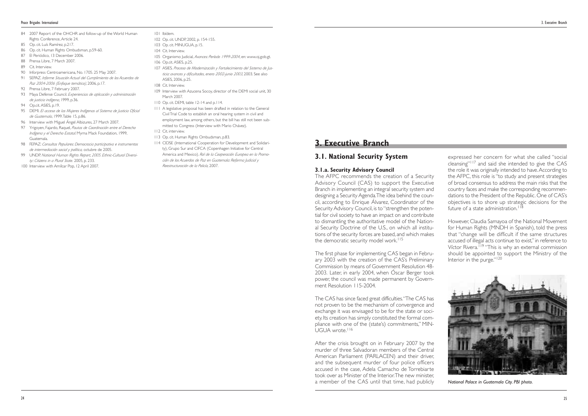## **3. Executive Branch**

## **3.1. National Security System**

The AFPC recommends the creation of a Security Advisory Council (CAS) to support the Executive Branch in implementing an integral security system and designing a Security Agenda.The idea behind the council, according to Enrique Álvarez, Coordinator of the Security Advisory Council, is to "strengthen the potential for civil society to have an impact on and contribute to dismantling the authoritative model of the National Security Doctrine of the U.S., on which all institutions of the security forces are based, and which makes the democratic security model work.<sup>115</sup>

#### **3.1.a. Security Advisory Council**

The CAS has since faced great difficulties."The CAS has not proven to be the mechanism of convergence and exchange it was envisaged to be for the state or society. Its creation has simply constituted the formal compliance with one of the (state's) commitments," MIN-UGUA wrote.<sup>116</sup>

expressed her concern for what she called "social cleansing"<sup>117</sup> and said she intended to give the CAS the role it was originally intended to have.According to the AFPC, this role is "to study and present strategies of broad consensus to address the main risks that the country faces and make the corresponding recommendations to the President of the Republic. One of CAS's objectives is to shore up strategic decisions for the future of a state administration.<sup>11</sup>

The first phase for implementing CAS began in February 2003 with the creation of the CAS's Preliminary Commission by means of Government Resolution 48- 2003. Later, in early 2004, when Óscar Berger took power, the council was made permanent by Government Resolution 115-2004.

However, Claudia Samayoa of the National Movement for Human Rights (MNDH in Spanish), told the press that "change will be difficult if the same structures accused of illegal acts continue to exist," in reference to Víctor Rivera.119 "This is why an external commission should be appointed to support the Ministry of the Interior in the purge."<sup>120</sup>

After the crisis brought on in February 2007 by the murder of three Salvadoran members of the Central American Parliament (PARLACEN) and their driver, and the subsequent murder of four police officers accused in the case, Adela Camacho de Torrebiarte took over as Minister of the Interior.The new minister, a member of the CAS until that time, had publicly

- 84 2007 Report of the OHCHR and follow-up of the World Human Rights Conference,Article 24.
- 85 Op. cit. Luís Ramírez, p.217.
- 86 Op. cit. Human Rights Ombudsman, p.59-60.
- 87 El Periódico, 13 December 2006.
- 88 Prensa Libre, 7 March 2007
- 89 Cit. Interview
- 90 Inforpress Centroamericana, No. 1705. 25 May 2007.
- 91 SEPAZ. *Informe Situación Actual del Cumplimiento de los Acuerdos de Paz 2004-2006 (Enfoque temático)*, 2006, p.17.
- 92 Prensa Libre, 7 February 2007.
- 93 Maya Defense Council. *Experiencias de aplicación y administración de justicia indígena*, 1999, p.36.
- 94 Op.cit. ASIES, p.19.
- 95 DEMI. *El acceso de las Mujeres Indígenas al Sistema de Justicia Oficial de Guatemala*, 1999.Table 15, p.86.
- 96 Interview with Miguel Ángel Albizures, 27 March 2007.
- 97 Yrigoyen, Fajardo, Raquel, *Pautas de Coordinación entre el Derecho Indígena y el Derecho Estatal*. Myrna Mack Foundation, 1999, Guatemala.
- 98 FEPAZ: *Consultas Populares: Democracia participativa e instrumentos de intermediación social y política,* octubre de 2005.
- 99 UNDP. *National Human Rights Report, 2005. Ethnic-Cultural Diversity:: Citizens in a Plural State.* 2005, p. 233.
- 100 Interview with Amílcar Pop, 12 April 2007.
- 101 Ibídem.
- 102 Op. cit. UNDP, 2002, p. 154-155.
- 103 Op. cit. MINUGUA, p.15.
- 104 Cit. Interview.
- 105 Organismo Judicial, *Avances: Período 1999-2004*, en: www.oj.gob.gt.
- 106 Op.cit.ASIES, p.25.
- 107 ASIES. *Proceso de Modernización y Fortalecimiento del Sistema de Justicia: avances y dificultades, enero 2002-junio 2003*, 2003. See also ASIES, 2006, p.25.
- 108 Cit. Interview.
- 109 Interview with Azucena Socoy, director of the DEMI social unit, 30 March 2007.
- 110 Op. cit. DEMI, table 12-14 and p.114.
- 111 A legislative proposal has been drafted in relation to the General Civil Trial Code to establish an oral hearing system in civil and employment law, among others, but the bill has still not been submitted to Congress (Interview with Mario Chávez).
- 112 Cit. interview.
- 113 Op. cit. Human Rights Ombudsman, p.83.
- 114 CIDSE (International Cooperation for Development and Solidarity), Grupo Sur and CIFCA (Copenhagen Initiative for Central America and Mexico). *Rol de la Cooperación Europea en la Promoción de los Acuerdos de Paz en Guatemala: Reforma Judicial y Reestructuración de la Policía,* 2007.



*National Palace in Guatemala City. PBI photo.*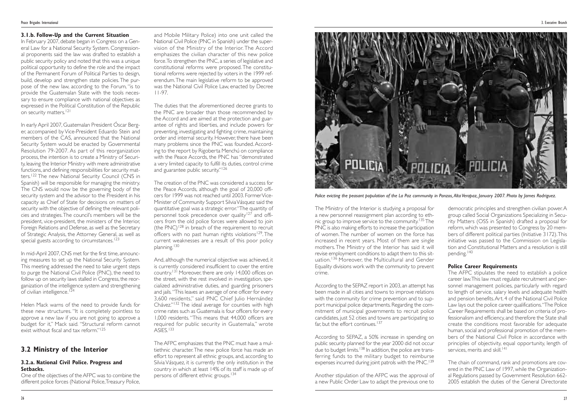The Ministry of the Interior is studying a proposal for a new personnel reassignment plan according to ethnic group to improve service to the community.135 The PNC is also making efforts to increase the participation of women. The number of women on the force has increased in recent years. Most of them are single mothers. The Ministry of the Interior has said it will revise employment conditions to adapt them to this situation.<sup>136</sup> Moreover, the Multicultural and Gender Equality divisions work with the community to prevent crime.

According to the SEPAZ report in 2003, an attempt has been made in all cities and towns to improve relations with the community for crime prevention and to support municipal police departments. Regarding the commitment of municipal governments to recruit police candidates, just 52 cities and towns are participating so far, but the effort continues.<sup>137</sup>

According to SEPAZ, a 50% increase in spending on public security planned for the year 2000 did not occur due to budget limits.<sup>138</sup> In addition, the police are transferring funds to the military budget to reimburse expenses incurred during joint patrols with the PNC.<sup>139</sup>

The AFPC stipulates the need to establish a police career law.This law must regulate recruitment and personnel management policies, particularly with regard to length of service, salary levels and adequate health and pension benefits.Art. 4 of the National Civil Police Law lays out the police career qualifications."The Police Career Requirements shall be based on criteria of professionalism and efficiency, and therefore the State shall create the conditions most favorable for adequate human, social and professional promotion of the members of the National Civil Police in accordance with principles of objectivity, equal opportunity, length of services, merits and skill.<sup>141</sup>

Another stipulation of the AFPC was the approval of a new Public Order Law to adapt the previous one to

In February 2007, debate began in Congress on a General Law for a National Security System. Congressional proponents said the law was drafted to establish a public security policy and noted that this was a unique political opportunity to define the role and the impact of the Permanent Forum of Political Parties to design, build, develop and strengthen state policies.The purpose of the new law, according to the Forum, "is to provide the Guatemalan State with the tools necessary to ensure compliance with national objectives as expressed in the Political Constitution of the Republic on security matters.<sup>121</sup>

> democratic principles and strengthen civilian power.A group called Social Organizations Specializing in Security Matters (OSS in Spanish) drafted a proposal for reform, which was presented to Congress by 20 members of different political parties (Initiative 3172).This initiative was passed to the Commission on Legislation and Constitutional Matters and a resolution is still pending.<sup>140</sup>

In early April 2007, Guatemalan President Óscar Berger, accompanied by Vice-President Eduardo Stein and members of the CAS, announced that the National Security System would be enacted by Governmental Resolution 79-2007. As part of this reorganization process, the intention is to create a Ministry of Security, leaving the Interior Ministry with mere administrative functions, and defining responsibilities for security matters.<sup>122</sup> The new National Security Council (CNS in Spanish) will be responsible for managing the ministry. The CNS would now be the governing body of the security system and the advisor to the President in his capacity as Chief of State for decisions on matters of security with the objective of defining the relevant policies and strategies.The council's members will be the president, vice-president, the ministers of the Interior, Foreign Relations and Defense, as well as the Secretary of Strategic Analysis, the Attorney General, as well as special guests according to circumstances.<sup>123</sup>

In mid-April 2007, CNS met for the first time, announcing measures to set up the National Security System. This meeting addressed the need to take urgent steps to purge the National Civil Police (PNC), the need to follow up on security laws stalled in Congress, the reorganization of the intelligence system and strengthening of civilian intelligence.<sup>124</sup>

#### **Police Career Requirements**

Helen Mack warns of the need to provide funds for these new structures. "It is completely pointless to approve a new law if you are not going to approve a budget for it," Mack said*.* "Structural reform cannot exist without fiscal and tax reform."<sup>125</sup>

One of the objectives of the AFPC was to combine the different police forces (National Police, Treasury Police,

The chain of command, rank and promotions are covered in the PNC Law of 1997, while the Organizational Regulations passed by Government Resolution 662- 2005 establish the duties of the General Directorate

#### **3.1.b. Follow-Up and the Current Situation**

The duties that the aforementioned decree grants to the PNC are broader than those recommended by the Accord and are aimed at the protection and guarantee of rights and liberties, and include powers for preventing, investigating and fighting crime, maintaining order and internal security. However, there have been many problems since the PNC was founded. According to the report by Rigoberta Menchú on compliance with the Peace Accords, the PNC has "demonstrated a very limited capacity to fulfill its duties, control crime and guarantee public security."<sup>126</sup>

And, although the numerical objective was achieved, it is currently considered insufficient to cover the entire country. 131 Moreover, there are only 14,000 offices on the street, with the rest involved in investigation, specialized administrative duties, and guarding prisoners and jails*.*"This leaves an average of one officer for every 3,600 residents," said PNC Chief Julio Hernández Chávez."132 The ideal average for counties with high crime rates such as Guatemala is four officers for every 1,000 residents."This means that 44,000 officers are required for public security in Guatemala," wrote ASIES.<sup>133</sup>

The AFPC emphasizes that the PNC must have a multiethnic character.The new police force has made an effort to represent all ethnic groups, and, according to Silvia Vásquez, it is currently the only institution in the country in which at least 14% of its staff is made up of persons of different ethnic groups.<sup>134</sup>



## **3.2 Ministry of the Interior**

#### **3.2.a. National Civil Police. Progress and Setbacks.**

and Mobile Military Police) into one unit called the National Civil Police (PNC in Spanish) under the supervision of the Ministry of the Interior. The Accord emphasizes the civilian character of this new police force.To strengthen the PNC, a series of legislative and constitutional reforms were proposed. The constitutional reforms were rejected by voters in the 1999 referendum. The main legislative reform to be approved was the National Civil Police Law, enacted by Decree 11-97.

The creation of the PNC was considered a success for the Peace Accords, although the goal of 20,000 officers for 1999 was not reached until 2003. Former Vice-Minister of Community Support Silvia Vásquez said the quantitative goal was a strategic error."The quantity of personnel took precedence over quality<sup>127</sup> and officers from the old police forces were allowed to join (the PNC)<sup>128</sup> in breach of the requirement to recruit officers with no past human rights violations<sup>129</sup>. The current weaknesses are a result of this poor policy planning.130

#### *Police evicting the peasant population of the La Paz community in Panzos,Alta Verapaz, January 2007. Photo by James Rodriguez.*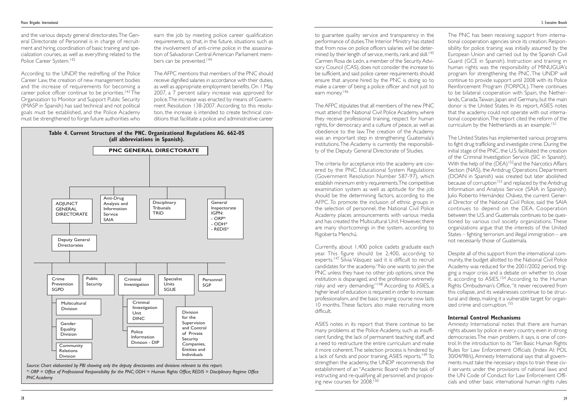The AFPC stipulates that all members of the new PNC must attend the National Civil Police Academy, where they receive professional training, respect for human rights, for democracy and a culture of peace, as well as obedience to the law. The creation of the Academy was an important step in strengthening Guatemala's institutions.The Academy is currently the responsibility of the Deputy General Directorate of Studies.

ASIES notes in its report that there continue to be many problems at the Police Academy, such as insufficient funding, the lack of permanent teaching staff, and a need to restructure the entire curriculum and make it more coherent.The selection process is hindered by a lack of funds and poor training, ASIES reports.<sup>149</sup> To strengthen the academy, the UNDP recommends the establishment of an "Academic Board with the task of instructing and re-qualifying all personnel, and proposing new courses for 2008.<sup>150</sup>

The criteria for acceptance into the academy are covered by the PNC Educational System Regulations (Government Resolution Number 587-97), which establish minimum entry requirements.The competitive examination system as well as aptitude for the job should be the determining factors, according to the AFPC. To promote the inclusion of ethnic groups in the selection of personnel, the National Civil Police Academy places announcements with various media and has created the Multicultural Unit. However, there are many shortcomings in the system, according to Rigoberta Menchú.

The PNC has been receiving support from international cooperation agencies since its creation. Responsibility for police training was initially assumed by the European Union and carried out by the Spanish Civil Guard (GCE in Spanish). Instruction and training in human rights was the responsibility of MINUGUA's program for strengthening the PNC.The UNDP will continue to provide support until 2008 with its Police Reinforcement Program (FORPOL). There continues to be bilateral cooperation with Spain, the Netherlands, Canada, Taiwan, Japan and Germany, but the main donor is the United States. In its report, ASIES notes that the academy could not operate with out international cooperation.The report cited the reform of the curriculum by the Netherlands as an example.<sup>151</sup>

Currently, about 1,400 police cadets graduate each year. This figure should be 2,400, according to experts.147 Silvia Vásquez said it is difficult to recruit candidates for the academy."No one wants to join the PNC unless they have no other job options, since the institution is disparaged, and the profession extremely risky and very demanding."<sup>148</sup> According to ASIES, a higher level of education is required in order to increase professionalism, and the basic training course now lasts 10 months. These factors also make recruiting more difficult.

Despite all of this support from the international community, the budget allotted to the National Civil Police Academy was reduced for the 2001/2002 period, trigging a major crisis and a debate on whether to close it, according to ASIES.<sup>154</sup> According to the Human Rights Ombudsman's Office,"it never recovered from this collapse, and its weaknesses continue to be structural and deep, making it a vulnerable target for organized crime and corruption.<sup>155</sup>

and the various deputy general directorates.The General Directorate of Personnel is in charge of recruitment and hiring, coordination of basic training and specialization courses, as well as everything related to the Police Career System.<sup>142</sup>

earn the job by meeting police career qualification requirements, so that, in the future, situations such as the involvement of anti-crime police in the assassination of Salvadoran Central American Parliament members can be prevented.<sup>144</sup>

> The United States has implemented various programs to fight drug trafficking and investigate crime. During the initial stage of the PNC, the U.S. facilitated the creation of the Criminal Investigation Service (SIC in Spanish). With the help of the  $(DEA)^{152}$  and the Narcotics Affairs Section (NAS), the Antidrug Operations Department (DOAN in Spanish) was created but later abolished because of corruption<sup>153</sup> and replaced by the Antidrug Information and Analysis Service (SAIA in Spanish). Julio Roberto Hernández Chávez, the current General Director of the National Civil Police, said the SAIA continues to depend on the DEA. Cooperation between the U.S. and Guatemala continues to be questioned by various civil society organizations. These organizations argue that the interests of the United States – fighting terrorism and illegal immigration – are not necessarily those of Guatemala.

#### **Internal Control Mechanisms**

Amnesty International notes that there are human rights abuses by police in every country, even in strong democracies.The main problem, it says, is one of control. In the introduction to its "Ten Basic Human Rights Rules for Law Enforcement Officials (Index AI: POL 30/04/98/s),Amnesty International says that all governments must take the necessary steps to train these civil servants under the provisions of national laws and the UN Code of Conduct for Law Enforcement Officials and other basic international human rights rules

According to the UNDP, the redrefting of the Police Career Law, the creation of new management bodies and the increase of requirements for becoming a career police officer continue to be priorities.<sup>143</sup> The Organization to Monitor and Support Public Security (IMASP in Spanish) has said technical and not political goals must be established, and the Police Academy must be strengthened to forge future authorities who The AFPC mentions that members of the PNC should receive dignified salaries in accordance with their duties, as well as appropriate employment benefits. On 1 May 2007, a 7 percent salary increase was approved for police.The increase was enacted by means of Government Resolution 138-2007. According to this resolution, the increase is intended to create technical conditions that facilitate a police and administrative career



*<sup>\*:</sup> ORP = Office of Professional Responsibility for the PNC; ODH = Human Rights Office; REDIS = Disciplinary Regime Office PNC Academy*

to guarantee quality service and transparency in the performance of duties.The Interior Ministry has stated that from now on police officers salaries will be determined by their length of service, merits, rank and skill.<sup>145</sup> Carmen Rosa de León, a member of the Security Advisory Council (CAS), does not consider the increase to be sufficient, and said police career requirements should ensure that anyone hired by the PNC is doing so to make a career of being a police officer and not just to earn money.<sup>146</sup>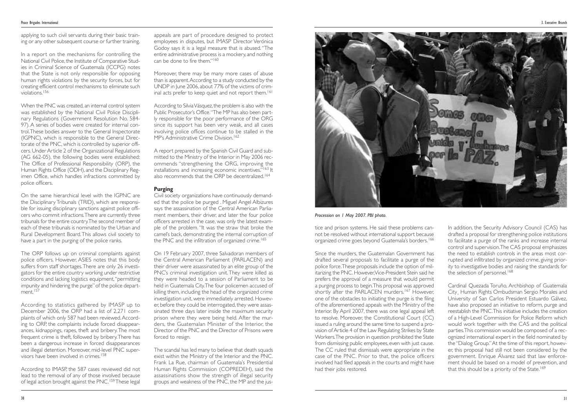tice and prison systems. He said these problems cannot be resolved without international support because organized crime goes beyond Guatemala's borders.<sup>166</sup>

Since the murders, the Guatemalan Government has drafted several proposals to facilitate a purge of the police force.These proposals include the option of militarizing the PNC. However,Vice-President Stein said he prefers the approval of a measure that would permit a purging process to begin.This proposal was approved shortly after the PARLACEN murders.<sup>167</sup> However, one of the obstacles to initiating the purge is the filing of the aforementioned appeals with the Ministry of the Interior. By April 2007, there was one legal appeal left to resolve. Moreover, the Constitutional Court (CC) issued a ruling around the same time to suspend a provision of Article 4 of the Law Regulating Strikes by State Workers.The provision in question prohibited the State from dismissing public employees, even with just cause. The CC ruled that dismissals were appropriate in the case of the PNC. Prior to that, the police officers involved had filed appeals in the courts and might have had their jobs restored.

In addition, the Security Advisory Council (CAS) has drafted a proposal for strengthening police institutions to facilitate a purge of the ranks and increase internal control and supervision.The CAS proposal emphasizes the need to establish controls in the areas most corrupted and infiltrated by organized crime, giving priority to investigative bodies and raising the standards for the selection of personnel.<sup>168</sup>

Cardinal Quezada Toruño, Archbishop of Guatemala City¸ Human Rights Ombudsman Sergio Morales and University of San Carlos President Estuardo Gálvez, have also proposed an initiative to reform, purge and reestablish the PNC.This initiative includes the creation of a High-Level Commission for Police Reform which would work together with the CAS and the political parties.This commission would be composed of a recognized international expert in the field nominated by the "Dialog Group."At the time of this report, however, this proposal had still not been considered by the government. Enrique Álvarez said that law enforcement should be based on a model of prevention, and that this should be a priority of the State.<sup>169</sup>

In a report on the mechanisms for controlling the National Civil Police, the Institute of Comparative Studies in Criminal Science of Guatemala (ICCPG) notes that the State is not only responsible for opposing human rights violations by the security forces, but for creating efficient control mechanisms to eliminate such violations.156

The ORP follows up on criminal complaints against police officers. However, ASIES notes that this body suffers from staff shortages.There are only 26 investigators for the entire country working under restrictive conditions and lacking logistics equipment,"permitting impunity and hindering the purge" of the police department.<sup>157</sup>

According to IMASP, the 587 cases reviewed did not lead to the removal of any of those involved because of legal action brought against the PNC.<sup>159</sup> These legal

applying to such civil servants during their basic training or any other subsequent course or further training. appeals are part of procedure designed to protect employees in disputes, but IMASP Director Verónica Godoy says it is a legal measure that is abused. "The entire administrative process is a mockery, and nothing can be done to fire them."<sup>160</sup>

Moreover, there may be many more cases of abuse than is apparent.According to a study conducted by the UNDP in June 2006, about 77% of the victims of criminal acts prefer to keep quiet and not report them.<sup>161</sup>

According to Silvia Vásquez, the problem is also with the Public Prosecutor's Office."The MP has also been partly responsible for the poor performance of the ORG since its support has been very weak, and all cases involving police offices continue to be stalled in the MP's Administrative Crime Division.<sup>162</sup>

A report prepared by the Spanish Civil Guard and submitted to the Ministry of the Interior in May 2006 recommends "strengthening the ORG, improving the installations and increasing economic incentives."<sup>163</sup> lt also recommends that the ORP be decentralized.<sup>164</sup>

Civil society organizations have continuously demanded that the police be purged . Miguel Angel Albizures says the assassination of the Central American Parliament members, their driver, and later the four police officers arrested in the case, was only the latest example of the problem. "It was the straw that broke the camel's back, demonstrating the internal corruption of the PNC and the infiltration of organized crime.<sup>165</sup>

When the PNC was created, an internal control system was established by the National Civil Police Disciplinary Regulations (Government Resolution No. 584- 97). A series of bodies were created for internal control.These bodies answer to the General Inspectorate (IGPNC), which is responsible to the General Directorate of the PNC, which is controlled by superior officers. Under Article 2 of the Organizational Regulations (AG 662-05), the following bodies were established: The Office of Professional Responsibility (ORP), the Human Rights Office (ODH), and the Disciplinary Regimen Office, which handles infractions committed by police officers.

On the same hierarchical level with the IGPNC are the Disciplinary Tribunals (TRID), which are responsible for issuing disciplinary sanctions against police officers who commit infractions.There are currently three tribunals for the entire country.The second member of each of these tribunals is nominated by the Urban and Rural Development Board.This allows civil society to have a part in the purging of the police ranks.

According to statistics gathered by IMASP up to December 2006, the ORP had a list of 2,271 complaints of which only 587 had been reviewed.According to ORP, the complaints include forced disappearances, kidnappings, rapes, theft and bribery.The most frequent crime is theft, followed by bribery.There has been a dangerous increase in forced disappearances and illegal detention. Moreover, mid-level PNC supervisors have been involved in crimes.158

#### **Purging**

On 19 February 2007, three Salvadoran members of the Central American Parliament (PARLACEN) and their driver were assassinated by an elite group of the PNC's criminal investigation unit.They were killed as they were headed to a session of Parliament to be held in Guatemala City.The four policemen accused of killing them, including the head of the organized crime investigation unit, were immediately arrested. However, before they could be interrogated, they were assassinated three days later inside the maximum security prison where they were being held. After the murders, the Guatemalan Minister of the Interior, the Director of the PNC and the Director of Prisons were forced to resign.

The scandal has led many to believe that death squads exist within the Ministry of the Interior and the PNC. Frank La Rue, chairman of Guatemala's Presidential Human Rights Commission (COPREDEH), said the assassinations show the strength of illegal security groups and weakness of the PNC, the MP and the jus-



*Procession on 1 May 2007. PBI photo.*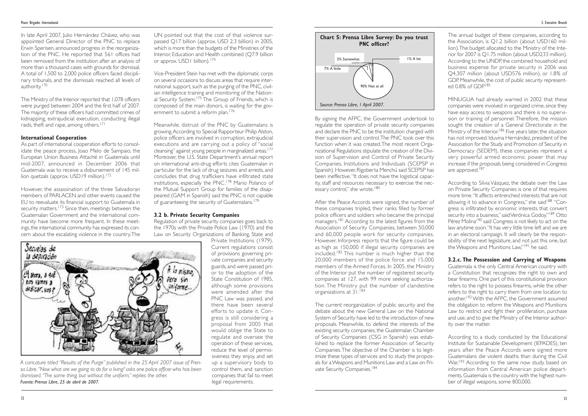The current reorganization of public security and the debate about the new General Law on the National System of Security have led to the introduction of new proposals. Meanwhile, to defend the interests of the existing security companies, the Guatemalan Chamber of Security Companies (CSG in Spanish) was established to replace the former Association of Security Companies.The objective of the Chamber is to legitimize these types of services and to study the proposals for a Weapons and Munitions Law and a Law on Private Security Companies.<sup>184</sup>

The annual budget of these companies, according to the Association, is Q1.2 billion (about USD160 million).The budget allocated to the Ministry of the Interior for 2007 is Q1.75 million (about USD233 million). According to the UNDP, the combined household and business expense for private security in 2006 was Q4,307 million (about USD576 million), or 1.8% of GDP. Meanwhile, the cost of public security represented 0.8% of GDP<sup>185</sup>

After the Peace Accords were signed, the number of these companies tripled, their ranks filled by former police officers and soldiers who became the principal managers.<sup>181</sup> According to the latest figures from the Association of Security Companies, between 50,000 and 60,000 people work for security companies. However, Inforpress reports that the figure could be as high as 150,000 if illegal security companies are included.<sup>182</sup> This number is much higher than the 20,000 members of the police force and 15,000 members of the Armed Forces. In 2005, the Ministry of the Interior put the number of registered security companies at 127, with 99 more seeking authorization. The Ministry put the number of clandestine organizations at 31.<sup>183</sup>

MINUGUA had already warned in 2002 that these companies were involved in organized crime, since they have easy access to weapons and there is no supervision or training of personnel. Therefore, the mission sought the creation of a General Directorate in the Ministry of the Interior.<sup>186</sup> Five years later, the situation has not improved. Iduvina Hernández, president of the Association for the Study and Promotion of Security in Democracy (SEDEM), these companies represent a very powerful armed economic power that may increase if the proposals being considered in Congress are approved.<sup>187</sup>

As part of international cooperation efforts to consolidate the peace process, Joao Melo de Sampaio, the European Union Business Attaché in Guatemala until mid-2007, announced in December 2006 that Guatemala was to receive a disbursement of 145 million quetzals (approx. USD19 million).<sup>172</sup>

UN pointed out that the cost of that violence surpassed Q17 billion (approx. USD 2.3 billion) in 2005, which is more than the budgets of the Ministries of the Interior, Education and Health combined (Q7.9 billion or approx. USD1 billion).<sup>174</sup>

Vice-President Stein has met with the diplomatic corps on several occasions to discuss areas that require international support, such as the purging of the PNC, civilian intelligence training and monitoring of the National Security System.<sup>175</sup> The Group of Friends, which is composed of the main donors, is waiting for the government to submit a reform plan.<sup>176</sup>

> According to Silvia Vásquez, the debate over the Law on Private Security Companies is one of that requires more time."It affects entrenched interests that are not allowing it to advance in Congress," she said<sup>188</sup> "Congress is infiltrated by economic interests that convert security into a business," said Verónica Godoy."<sup>189</sup> Otto Pérez Molina<sup>190</sup> said Congress is not likely to act on the law anytime soon."It has very little time left and we are in an electoral campaign. It will clearly be the responsibility of the next legislature, and not just this one, but the Weapons and Munitions Law,"191 he said.

> **3.2.c. The Possession and Carrying of Weapons** Guatemala is the only Central American country with a Constitution that recognizes the right to own and bear firearms. One part of this constitutional provision refers to the right to possess firearms, while the other refers to the right to carry them from one location to another.192With the AFPC, the Government assumed the obligation to reform the Weapons and Munitions Law to restrict and fight their proliferation, purchase and use, and to give the Ministry of the Interior authority over the matter.

> According to a study conducted by the Educational Institute for Sustainable Development (IEPADES), ten years after the Peace Accords were signed more Guatemalans die violent deaths than during the Civil War,<sup>193</sup> According to the same now study, based on information from Central American police departments, Guatemala is the country with the highest number of illegal weapons, some 800,000.

In late April 2007, Julio Hernández Chávez, who was appointed General Director of the PNC to replace Erwin Sperisen, announced progress in the reorganization of the PNC. He reported that 561 offices had been removed from the institution after an analysis of more than a thousand cases with grounds for dismissal. A total of 1,500 to 2,000 police officers faced disciplinary tribunals, and the dismissals reached all levels of authority.170

The Ministry of the Interior reported that 1,078 officers were purged between 2004 and the first half of 2007. The majority of these officers had committed crimes of kidnapping, extrajudicial execution, conducting illegal raids, theft and rape, among others.171

#### **International Cooperation**

However, the assassination of the three Salvadoran members of PARLACEN and other events caused the EU to reevaluate its financial support to Guatemala in security matters.<sup>173</sup> Since then, meetings between the Guatemalan Government and the international community have become more frequent. In these meetings, the international community has expressed its concern about the escalating violence in the country.The Meanwhile, distrust of the PNC by Guatemalans is growing.According to Special Rapporteur Philip Alston, police officers are involved in corruption, extrajudicial executions and are carrying out a policy of "social cleansing" against young people in marginalized areas.<sup>177</sup> Moreover, the U.S. State Department's annual report on international anti-drug efforts cites Guatemalan in particular for the lack of drug seizures and arrests, and concludes that drug traffickers have infiltrated state institutions, especially the PNC.178 Mario Polanco of the Mutual Support Group for families of the disappeared (GAM in Spanish) said the PNC is not capable of guaranteeing the security of Guatemalans.179

#### **3.2 b. Private Security Companies**

Regulation of private security companies goes back to the 1970s with the Private Police Law (1970) and the Law on Security Organizations of Banking, State and

Private Institutions (1979). Current regulations consist of provisions governing private companies and security guards, and were passed prior to the adoption of the State Constitution of 1985 although some provisions were amended after the PNC Law was passed, and there have been several efforts to update it. Congress is still considering a proposal from 2005 that would oblige the State to regulate and oversee the operation of these services, reduce the level of permissiveness they enjoy, and set up a supervisory body to control them, and sanction companies that fail to meet legal requirements.



*A caricature titled "Results of the Purge" published in the 25 April 2007 issue of Prensa Libre."Now what are we going to do for a living? asks one police officer who has been dismissed."The same thing, but without the uniform," replies the other. Fuente: Prensa Libre, 25 de abril de 2007.*



By signing the AFPC, the Government undertook to regulate the operation of private security companies and declare the PNC to be the institution charged with their supervision and control.The PNC took over this function when it was created.The most recent Organizational Regulations stipulate the creation of the Division of Supervision and Control of Private Security Companies, Institutions and Individuals (SCEPSP in Spanish). However, Rigoberta Menchú said SCEPSP has been ineffective."It does not have the logistical capacity, staff and resources necessary to exercise the necessary control," she wrote.<sup>180</sup>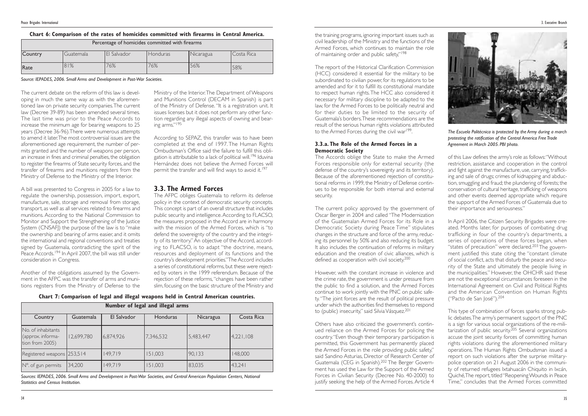the training programs, ignoring important issues such as civil leadership of the Ministry and the functions of the Armed Forces, which continues to maintain the role of maintaining order and public safety,"198

The report of the Historical Clarification Commission (HCC) considered it essential for the military to be subordinated to civilian power, for its regulations to be amended and for it to fulfill its constitutional mandate to respect human rights.The HCC also considered it necessary for military discipline to be adapted to the law, for the Armed Forces to be politically neutral and for their duties to be limited to the security of Guatemala's borders.These recommendations are the result of the serious human rights violations attributed to the Armed Forces during the civil war<sup>199</sup>.

The current policy approved by the government of Oscar Berger in 2004 and called "The Modernization of the Guatemalan Armed Forces for its Role in a Democratic Society during Peace Time" stipulates changes in the structure and force of the army, reducing its personnel by 50% and also reducing its budget. It also includes the continuation of reforms in military education and the creation of civic alliances, which is defined as cooperation with civil society.<sup>200</sup>

However, with the constant increase in violence and the crime rate, the government is under pressure from the public to find a solution, and the Armed Forces continue to work jointly with the PNC on public safety."The joint forces are the result of political pressure under which the authorities find themselves to respond to (public) insecurity," said Silvia Vásquez.<sup>201</sup>

#### **3.3.a. The Role of the Armed Forces in a Democratic Society**

Others have also criticized the government's continued reliance on the Armed Forces for policing the country."Even though their temporary participation is permitted, this Government has permanently placed the Armed Forces in the role providing public safety," said Sandino Asturias, Director of Research Center of Guatemala (CEG in Spanish).202 The Berger Government has used the Law for the Support of the Armed Forces in Civilian Security (Decree No. 40-2000) to justify seeking the help of the Armed Forces. Article 4

The Accords oblige the State to make the Armed Forces responsible only for external security (the defense of the country's sovereignty and its territory). Because of the aforementioned rejection of constitutional reforms in 1999, the Ministry of Defense continues to be responsible for both internal and external security.

> This type of combination of forces sparks strong public debates.The army's permanent support of the PNC is a sign for various social organizations of the re-militarization of public security. <sup>205</sup> Several organizations accuse the joint security forces of committing human rights violations during the aforementioned military operations.The Human Rights Ombudsman issued a report on such violations after the surprise militarypolice operation on 21 August 2006 in the community of returned refugees Ixtahuacán Chiquito in Ixcán, Quiché,The report, titled "Reopening Wounds in Peace Time" concludes that the Armed Forces committed

of this Law defines the army's role as follows:"Without restriction, assistance and cooperation in the control and fight against the manufacture, use, carrying, trafficking and sale of drugs; crimes of kidnapping and abduction, smuggling and fraud; the plundering of forests; the conservation of cultural heritage, trafficking of weapons and other events deemed appropriate which require the support of the Armed Forces of Guatemala due to their importance and seriousness."

According to SEPAZ, this transfer was to have been completed at the end of 1997. The Human Rights Ombudsman's Office said the failure to fulfill this obligation is attributable to a lack of political will.<sup>196</sup> Iduvina Hernández does not believe the Armed Forces will permit the transfer and will find ways to avoid it.<sup>197</sup>

> In April 2006, the Citizen Security Brigades were created. Months later, for purposes of combating drug trafficking in four of the country's departments, a series of operations of these forces began, when "states of precaution" were declared.<sup>203</sup> The government justified this state citing the "constant climate of social conflict, acts that disturb the peace and security of the State and ultimately the people living in the municipalities." However, the OHCHR said these are not the exceptional circumstances foreseen in the International Agreement on Civil and Political Rights and the American Convention on Human Rights ("Pacto de San José").<sup>204</sup>

The current debate on the reform of this law is developing in much the same way as with the aforementioned law on private security companies.The current law (Decree 39-89) has been amended several times. The last time was prior to the Peace Accords to increase the minimum age for bearing weapons to 25 years (Decree 36-96).There were numerous attempts to amend it later.The most controversial issues are the aforementioned age requirement, the number of permits granted and the number of weapons per person, an increase in fines and criminal penalties, the obligation to register the firearms of State security forces, and the transfer of firearms and munitions registers from the Ministry of Defense to the Ministry of the Interior.

A bill was presented to Congress in 2005 for a law to regulate the ownership, possession, import, export, manufacture, sale, storage and removal from storage, transport, as well as all services related to firearms and munitions. According to the National Commission to Monitor and Support the Strengthening of the Justice System (CNSAFI) the purpose of the law is to "make the ownership and bearing of arms easier, and it omits the international and regional conventions and treaties signed by Guatemala, contradicting the spirit of the Peace Accords.<sup>194</sup> In April 2007, the bill was still under consideration in Congress.

Another of the obligations assumed by the Government in the AFPC was the transfer of arms and munitions registers from the Ministry of Defense to the Ministry of the Interior.The Department of Weapons and Munitions Control (DECAM in Spanish) is part of the Ministry of Defense. "It is a registration unit. It issues licenses but it does not perform any other function regarding any illegal aspects of owning and bearing arms."<sup>195</sup>

## **3.3. The Armed Forces**

The AFPC obliges Guatemala to reform its defense policy in the context of democratic security concepts. This concept is part of an overall structure that includes public security and intelligence.According to FLACSO, the measures proposed in the Accord are in harmony with the mission of the Armed Forces, which is "to defend the sovereignty of the country and the integrity of its territory."An objective of the Accord, according to FLACSO, is to adapt "the doctrine, means, resources and deployment of its functions and the country's development priorities."The Accord includes a series of constitutional reforms, but these were rejected by voters in the 1999 referendum. Because of the rejection of these reforms,"changes have been rather slim, focusing on the basic structure of the Ministry and

|                                                            | Number of legal and illegal arms |             |           |           |            |  |
|------------------------------------------------------------|----------------------------------|-------------|-----------|-----------|------------|--|
| Country                                                    | Guatemala                        | El Salvador | Honduras  | Nicaragua | Costa Rica |  |
| No. of inhabitants<br>(approx. informa-<br>tion from 2005) | 12,699,780                       | 6,874,926   | 7,346,532 | 5,483,447 | 4,221,108  |  |
| Registered weapons 253,514                                 |                                  | 149,719     | 151,003   | 90, 133   | 148,000    |  |
| N°. of gun permits                                         | 34,200                           | 149,719     | 51,003    | 83,035    | 43,24      |  |



*The Escuela Politécnica is protected by the Army during a march protesting the ratification of the Central America Free Trade Agreement in March 2005. PBI photo.*

| Percentage of homicides committed with firearms |           |             |          |           |            |
|-------------------------------------------------|-----------|-------------|----------|-----------|------------|
| Country                                         | Guatemala | El Salvador | Honduras | Nicaragua | Costa Rica |
| Rate                                            | 81%       | 76%         | 76%      | 56%       | 58%        |

#### **Chart 6: Comparison of the rates of homicides committed with firearms in Central America.**

*Source: IEPADES, 2006. Small Arms and Development in Post-War Societies.*

**Chart 7: Comparison of legal and illegal weapons held in Central American countries.**

*Sources: IEPADES, 2006. Small Arms and Development in Post-War Societies, and Central American Population Centers, National Statistics and Census Institution.*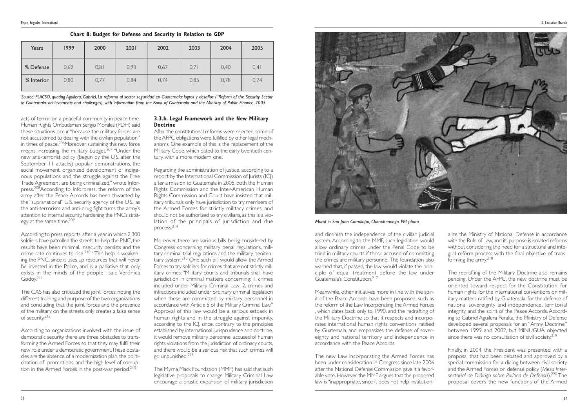and diminish the independence of the civilian judicial system. According to the MMF, such legislation would allow ordinary crimes under the Penal Code to be tried in military courts if those accused of committing the crimes are military personnel.The foundation also warned that, if passed, the law would violate the principle of equal treatment before the law under Guatemala's Constitution.217

Meanwhile, other initiatives more in line with the spirit of the Peace Accords have been proposed, such as the reform of the Law Incorporating the Armed Forces , which dates back only to 1990, and the redrafting of the Military Doctrine so that it respects and incorporates international human rights conventions ratified by Guatemala, and emphasizes the defense of sovereignty and national territory and independence in accordance with the Peace Accords.

The redrafting of the Military Doctrine also remains pending. Under the AFPC, the new doctrine must be oriented toward respect for the Constitution, for human rights, for the international conventions on military matters ratified by Guatemala, for the defense of national sovereignty and independence, territorial integrity, and the spirit of the Peace Accords. According to Gabriel Aguilera Peralta, the Ministry of Defense developed several proposals for an "Army Doctrine" between 1999 and 2002, but MINUGUA objected since there was no consultation of civil society.<sup>219</sup>

The new Law Incorporating the Armed Forces has been under consideration in Congress since late 2006 after the National Defense Commission gave it a favorable vote. However, the MMF argues that the proposed law is "inappropriate, since it does not help institution-

acts of terror on a peaceful community in peace time. Human Rights Ombudsman Sergio Morales (PDH) said these situations occur "because the military forces are not accustomed to dealing with the civilian population" in times of peace. 206Moreover, sustaining this new force means increasing the military budget.<sup>207</sup> "Under the new anti-terrorist policy (begun by the U.S. after the September 11 attacks) popular demonstrations, the social movement, organized development of indigenous populations and the struggle against the Free Trade Agreement are being criminalized," wrote Inforpress.<sup>208</sup>According to Inforpress, the reform of the army after the Peace Accords has been thwarted by the "supranational" U.S. security agency of the U.S., as the anti-terrorism and anti-drug fight turns the army's attention to internal security, hardening the PNC's strategy at the same time.<sup>209</sup>

> alize the Ministry of National Defense in accordance with the Rule of Law, and its purpose is isolated reforms without considering the need for a structural and integral reform process with the final objective of transforming the army.218

According to press reports, after a year in which 2,300 soldiers have patrolled the streets to help the PNC, the results have been minimal. Insecurity persists and the crime rate continues to rise.210 "This help is weakening the PNC, since it uses up resources that will never be invested in the Police, and is a palliative that only exists in the minds of the people," said Verónica Godoy.<sup>211</sup>

The CAS has also criticized the joint forces, noting the different training and purpose of the two organizations and concluding that the joint forces and the presence of the military on the streets only creates a false sense of security.<sup>212</sup>

According to organizations involved with the issue of democratic security, there are three obstacles to transforming the Armed Forces so that they may fulfil their new role under a democratic government.These obstacles are the absence of a modernization plan, the politicization of promotions, and the high level of corruption in the Armed Forces in the post-war period.<sup>213</sup>

Finally, in 2004, the President was presented with a proposal that had been debated and approved by a special commission for a dialog between civil society and the Armed Forces on defense policy (*Mesa Intersectorial de Diálogo sobre Política de Defensa*).<sup>220</sup> The proposal covers the new functions of the Armed

#### **3.3.b. Legal Framework and the New Military Doctrine**

After the constitutional reforms were rejected, some of the AFPC obligations were fulfilled by other legal mechanisms. One example of this is the replacement of the Military Code, which dated to the early twentieth century, with a more modern one.

Regarding the administration of justice, according to a report by the International Commission of Jurists (ICJ) after a mission to Guatemala in 2005, both the Human Rights Commission and the Inter-American Human Rights Commission and Court have insisted that military tribunals only have jurisdiction to try members of the Armed Forces for strictly military crimes, and should not be authorized to try civilians, as this is a violation of the principals of jurisdiction and due process.<sup>214</sup>

Moreover, there are various bills being considered by Congress concerning military penal regulations, military criminal trial regulations and the military penitentiary system.215 One such bill would allow the Armed Forces to try soldiers for crimes that are not strictly military crimes:"Military courts and tribunals shall have jurisdiction in criminal matters concerning: 1. crimes included under Military Criminal Law; 2. crimes and infractions included under ordinary criminal legislation when these are committed by military personnel in accordance with Article 5 of the Military Criminal Law." Approval of this law would be a serious setback in human rights and in the struggle against impunity, according to the ICJ, since, contrary to the principles established by international jurisprudence and doctrine, it would remove military personnel accused of human rights violations from the jurisdiction of ordinary courts, and there would be a serious risk that such crimes will go unpunished.216

The Myrna Mack Foundation (MMF) has said that such legislative proposals to change Military Criminal Law encourage a drastic expansion of military jurisdiction

| Years      | 1999 | 2000 | 2001 | 2002 | 2003 | 2004 | 2005 |
|------------|------|------|------|------|------|------|------|
| % Defense  | 0,62 | 0,81 | 0,93 | 0,67 | 0,71 | 0,40 | 0,41 |
| % Interior | 0,80 | 0,77 | 0,84 | 0,74 | 0,85 | 0,78 | 0,74 |

*Source: FLACSO, quoting Aguilera, Gabriel, La reforma al sector seguridad en Guatemala: logros y desafíos ("Reform of the Security Sector in Guatemala: achievements and challenges), with information from the Bank of Guatemala and the Ministry of Public Finance. 2005.*



*Mural in San Juan Comalapa, Chimaltenango. PBI photo.*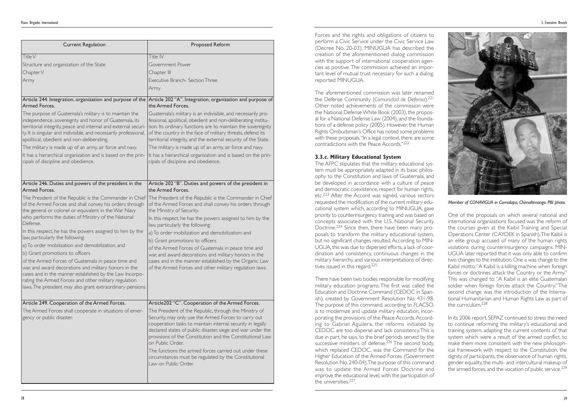| <b>Current Regulation</b>                                                                                                                                                                                                                                                                                                                                                                                                                                                                                                                                                                                                                                                                                                                                                                                         | <b>Proposed Reform</b>                                                                                                                                                                                                                                                                                                                                                                                                                                                                                                                                                                                                                                                                                                                       |
|-------------------------------------------------------------------------------------------------------------------------------------------------------------------------------------------------------------------------------------------------------------------------------------------------------------------------------------------------------------------------------------------------------------------------------------------------------------------------------------------------------------------------------------------------------------------------------------------------------------------------------------------------------------------------------------------------------------------------------------------------------------------------------------------------------------------|----------------------------------------------------------------------------------------------------------------------------------------------------------------------------------------------------------------------------------------------------------------------------------------------------------------------------------------------------------------------------------------------------------------------------------------------------------------------------------------------------------------------------------------------------------------------------------------------------------------------------------------------------------------------------------------------------------------------------------------------|
| Title V<br>Structure and organization of the State<br>Chapter V<br>Army<br>Armed Forces.<br>The purpose of Guatemala's military is to maintain the<br>independence, sovereignty and honor of Guatemala, its<br>territorial integrity, peace and internal and external securi-<br>ty. It is singular and indivisible, and necessarily professional,<br>apolitical, obedient and non-deliberating.<br>The military is made up of an army, air force and navy.<br>It has a hierarchical organization and is based on the prin-<br>cipals of discipline and obedience.                                                                                                                                                                                                                                                | Title IV<br>Government Power<br>Chapter III<br><b>Executive Branch- Section Three</b><br>Army<br>Article 244. Integration, organization and purpose of the Article 202 "A". Integration, organization and purpose of<br>the Armed Forces.<br>Guatemala's military is an indivisible, and necessarily pro-<br>fessional, apolitical, obedient and non-deliberating institu-<br>tion. Its ordinary functions are to maintain the sovereignty<br>of the country in the face of military threats, defend its<br>territorial integrity, and the external security of the State.<br>The military is made up of an army, air force and navy.<br>It has a hierarchical organization and is based on the prin-<br>cipals of discipline and obedience. |
| Article 246. Duties and powers of the president in the<br>Armed Forces.<br>The President of the Republic is the Commander in Chief<br>of the Armed Forces and shall convey his orders through<br>the general or colonel or equivalent in the War Navy<br>who performs the duties of Ministry of the National<br>Defense.<br>In this respect, he has the powers assigned to him by the<br>law, particularly the following:<br>a) To order mobilization and demobilization; and<br>b) Grant promotions to officers<br>of the Armed Forces of Guatemala in peace time and<br>war, and award decorations and military honors in the<br>cases and in the manner established by the Law Incorpo-<br>rating the Armed Forces and other military regulation<br>laws. The president may also grant extraordinary pensions. | Article 202 "B". Duties and powers of the president in<br>the Armed Forces.<br>The President of the Republic is the Commander in Chief<br>of the Armed Forces and shall convey his orders through<br>the Ministry of Security.<br>In this respect, he has the powers assigned to him by the<br>law, particularly the following:<br>a) To order mobilization and demobilization; and<br>b) Grant promotions to officers<br>of the Armed Forces of Guatemala in peace time and<br>war, and award decorations and military honors in the<br>cases and in the manner established by the Organic Law<br>of the Armed Forces and other military regulation laws.                                                                                   |
| Article 249. Cooperation of the Armed Forces.<br>The Armed Forces shall cooperate in situations of emer-<br>gency or public disaster.                                                                                                                                                                                                                                                                                                                                                                                                                                                                                                                                                                                                                                                                             | Article202 "C". Cooperation of the Armed Forces.<br>The President of the Republic, through the Ministry of<br>Security, may only use the Armed Forces to carry out<br>cooperation tasks to maintain internal security in legally<br>declared states of public disaster, siege and war under the<br>provisions of the Constitution and the Constitutional Law<br>on Public Order.<br>The functions the armed forces carried out under these<br>circumstances must be regulated by the Constitutional<br>Law on Public Order.                                                                                                                                                                                                                  |

The AFPC stipulates that the military educational system must be appropriately adapted in its basic philosophy to the Constitution and laws of Guatemala, and be developed in accordance with a culture of peace and democratic coexistence, respect for human rights, etc.<sup>223</sup> After the Accord was signed, various sectors requested the modification of the current military educational system which, according to MINUGUA, gave priority to counterinsurgency training and was based on concepts associated with the U.S. National Security Doctrine.<sup>224</sup> Since then, there have been many proposals to transform the military educational system, but no significant changes resulted.According to MIN-UGUA, this was due to dispersed efforts, a lack of coordination and consistency, continuous changes in the military hierarchy, and various interpretations of directives issued in this regard.<sup>225</sup>

> In its 2006 report, SEPAZ continued to stress the need to continue reforming the military's educational and training system, adapting the current contents of that system which were a result of the armed conflict, to make them more consistent with the new philosophical framework with respect to the Constitution, the dignity of participants, the observance of human rights, gender equality, the multi- and intercultural makeup of the armed forces, and the vocation of public service.<sup>229</sup>

Forces and the rights and obligations of citizens to perform a Civic Service under the Civic Service Law (Decree No. 20-03). MINUGUA has described the creation of the aforementioned dialog commission with the support of international cooperation agencies as positive.The commission achieved an important level of mutual trust necessary for such a dialog, reported MINUGUA.

The aforementioned commission was later renamed the Defense Community (*Comunidad de Defensa*).221 Other noted achievements of the commission were the National Defense White Book (2003), the proposal for a National Defense Law (2004), and the foundations of a defense policy (2005). However, the Human Rights Ombudsman's Office has noted some problems with these proposals. "In a legal context, there are some contradictions with the Peace Accords."222

#### **3.3.c. Military Educational System**

There have been two bodies responsible for modifying military education programs. The first was called the Education and Doctrine Command (CEDOC in Spanish), created by Government Resolution No. 431-98. The purpose of this command, according to FLACSO, is to modernize and update military education, incorporating the provisions of the Peace Accords.According to Gabriel Aguilera, the reforms initiated by CEDOC are too disperse and lack consistency.This is due in part, he says, to the brief periods served by the successive ministers of defense.<sup>226</sup> The second body, which replaced CEDOC, was the Command for the Higher Education of the Armed Forces (Government Resolution No. 240-04).The purpose of this command was to update the Armed Forces Doctrine and improve the educational level, with the participation of the universities.227.

One of the proposals on which several national and international organizations focused was the reform of the courses given at the Kaibil Training and Special Operations Center (CAYOEK in Spanish).The Kaibil is an elite group accused of many of the human rights violations during counterinsurgency campaigns. MIN-UGUA later reported that it was only able to confirm two changes to the institution. One a was change to the Kaibil motto:"A Kaibil is a killing machine when foreign forces or doctrines attack the Country or the Army." This was changed to: "A Kaibil is an elite Guatemalan soldier when foreign forces attack the Country." The second change was the introduction of the International Humanitarian and Human Rights Law as part of the curriculum.228



*Member of CONAVIGUA in Comalapa, Chimaltenango. PBI photo.*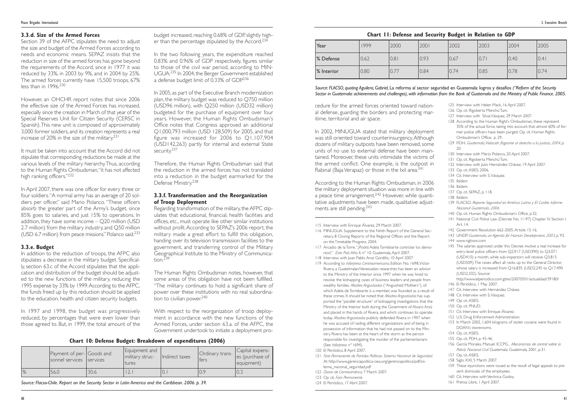#### **3.3.d. Size of the Armed Forces**

Section 39 of the AFPC stipulates the need to adjust the size and budget of the Armed Forces according to needs and economic means. SEPAZ insists that the reduction in size of the armed forces has gone beyond the requirements of the Accord, since in 1977 it was reduced by 33%, in 2003 by 9%, and in 2004 by 25%. The armed forces currently have 15,500 troops, 67% less than in 1996<sup>230</sup>

In April 2007, there was one officer for every three or four soldiers."A normal army has an average of 20 soldiers per officer," said Mario Polanco. "These officers absorb the greater part of the Army's budget, since 85% goes to salaries, and just 15% to operations. In addition, they have some income – Q20 million (USD 2.7 million) from the military industry, and Q50 million (USD 6.7 million) from peace missions." Polanco said.<sup>233</sup>

However, an OHCHR report notes that since 2006 the effective size of the Armed Forces has increased, especially since the creation in March of that year of the Special Reserves Unit for Citizen Security (CERSC in Spanish).This new unit is composed of approximately 3,000 former soldiers, and its creation represents a real increase of 20% in the size of the military.231

It must be taken into account that the Accord did not stipulate that corresponding reductions be made at the various levels of the military hierarchy.Thus, according to the Human Rights Ombudsman,"it has not affected high ranking officers."232

budget increased, reaching 0.68% of GDP, slightly higher than the percentage stipulated by the Accord.<sup>234</sup>

In the two following years, the expenditure reached 0.83% and 0.96% of GDP respectively, figures similar to those of the civil war period, according to MIN-UGUA.235 In 2004, the Berger Government established a defense budget limit of 0.33% of GDP.236

In 2005, as part of the Executive Branch modernization plan, the military budget was reduced to Q750 million (USD96 million), with Q250 million (USD32 million) budgeted for the purchase of equipment over four years. However, the Human Rights Ombudsman's Office notes that Congress approved an additional Q1,000,793 million (USD 128,509) for 2005, and that figure was increased for 2006 to Q1,107,904 (USD142,263) partly for internal and external State security.<sup>237</sup>

#### **3.3.e. Budget**

Regarding transformation of the military, the AFPC stipulates that educational, financial, health facilities and offices, etc., must operate like other similar institutions without profit.According to SEPAZ's 2006 report, the military made a great effort to fulfill this obligation, handing over its television transmission facilities to the government, and transferring control of the Military Geographical Institute to the Ministry of Communication. $239$ 

In addition to the reduction of troops, the AFPC also stipulates a decrease in the military budget. Specifically, section 63.c of the Accord stipulates that the application and distribution of the budget should be adjusted to the new functions of the military, reducing the 1995 expense by 33% by 1999.According to the AFPC, the funds freed up by this reduction should be applied to the education, health and citizen security budgets.

The Human Rights Ombudsman notes, however, that some areas of this obligation have not been fulfilled. "The military continues to hold a significant share of power over these institutions with no real subordination to civilian power.<sup>240</sup>

In 1997 and 1998, the budget was progressively reduced, by percentages that were even lower than those agreed to. But, in 1999, the total amount of the In 2002, MINUGUA stated that military deployment was still oriented toward counterinsurgency.Although dozens of military outposts have been removed, some units of no use to external defense have been maintained. Moreover, these units intimidate the victims of the armed conflict. One example, is the outpost in Rabinal (Baja Verapaz) or those in the Ixil area.<sup>241</sup>

Therefore, the Human Rights Ombudsman said that the reduction in the armed forces has not translated into a reduction in the budget earmarked for the Defense Ministry.238

#### **3.3.f. Transformation and the Reorganization of Troop Deployment**

With respect to the reorganization of troop deployment in accordance with the new functions of the Armed Forces, under section 63.a. of the AFPC, the Government undertook to initiate a deployment pro-

cedure for the armed forces oriented toward national defense, guarding the borders and protecting maritime, territorial and air space.

According to the Human Rights Ombudsman, in 2006 the military deployment situation was more in line with a peace time arrangement.242 However, while quantitative adjustments have been made, qualitative adjustments are still pending.243

115 Interview with Enrique Álvarez, 29 March 2007.

- 116 MINUGUA. Supplement to the Ninth Report of the General Secretary, 8 Closing Reports of the Regional Offices and the Report on the Timetable Progress. 2004*.*
- 117 Arcadio de la Torre."¿Podrá Adela Torrebiarte controlar los demonios?." *Este País*.Año II, nº 10. Guatemala, April 2007.
- 118 Interview with Juan Pablo Arce Gordillo, 10 April 2007.
- 119 According to *Inforpress Centroamericana*, Edition No. 1698,Víctor Rivera, a Guatelmalan/Venezuelan researcher, has been an advisor to the Ministry of the Interior since 1997 when he was hired to resolve the kidnapping cases of business leaders and people from wealthy families. *Madres Angustiadas* ("Anguished Mothers"), of which Adela de Torrebiarte is a member, was founded as a result of these crimes. It should be noted that *Madres Angustiadas* has supported the "parallel structure" of kidnapping investigations that the Ministry of the Interior built during the Goverment of Alvaro Arzú and placed in the hands of Rivera, and which continues to operate today. *Madres Angustiadas* publicly defended Rivera in 1997 when he was accused of raiding different organizations and of being in possession of information that he had not passed on to the Ministry. Rivera has been at the heart of the storm as the person responsible for investigating the murder of the parliamentarians (See *Inforpress nº* 1694).
- 120 El Periódico, 8 April 2007.
- 121 *Foro Permanente de Partidos Políticos. Sistema Nacional de Seguridad*. At http://www.gerenciapolitica-oea.org/gerenciapolitica/pdf/sistema\_nacional\_seguridad.pdf
- 122 *Diario de Centroamérica*, 7 March 2007.
- 123 Op cit, *Foro Permanente*.
- 124 El Periódico, 17 Abril 2007.
- 125 Interview with Helen Mack, 16 April 2007.
- 126 Op. cit. Rigoberta Menchú Tum.
- 127 Interview with Silvia Vásquez, 29 March 2007.
- 128 According to the Human Right's Ombudsman, these represent 35% of the actual force, taking into account that almost 60% of former police officers have been purged. Op. cit. Human Rights Ombudsman's Office*,* p. 29.
- 129 FIDH. *Guatemala,Violación flagrante al derecho a la justicia, <sup>2004</sup>*, p.  $20$
- 130 Interview with Mario Polanco, 20 April 2007.
- 131 Op. cit. Rigoberta Menchú Tum.
- 132 Interview with Julio Hernández Chávez, 19 April 2007.
- 133 Op. cit. ASIES, 2006.
- 134 Cit. Interview with S. Vásquez.
- 135 Ibídem
- 136 Ibídem.
- 137 Op. cit. SEPAZ, p. 118.
- 138 Ibídem.
- 139 FLACSO. *Reporte Seguridad en América Latina y El Caribe. Informe Nacional Guatemala, 2006.*
- 140 Op. cit. Human Rights Ombudsman's Office, p.32.
- 141 National Civil Police Law (Decree No. 11-97) Chapter IV, Section I. Art. 14.
- 142 Government Resolution 662-2005.Article 15-16.
- 143 UNDP. *Guatemala, an Agenda for Human Development, 2003,* p. 93.
- 144 www*.*sigloxxi.com
- 145 The salaries approved under this Decree involve a real increase for entry-level police officers from Q2,917 (USD390) to Q3.071 (USD410) a month, while sub-inspectors will receive Q3.815 (USD509).The raises affect all ranks up to the General Director, whose salary is increased from Q16.835 (USD2,245 to Q17.490 (USD2,332). Source:
- http://www.elperiodico.com.gt/es/20070501/actualidad/39180/ 146 El Periódico, 1 May 2007.
- 147 Cit. Interview with Hernández Chávez.
- 148 Cit. Interview with S.Vásquez.
- 149 Op. cit. ASIES.
- 150 Op. cit. PNUD.
- 151 Cit. Interview with Enrique Álvarez.
- 152 U.S. Drug Enforcement Administration.
- 153 In March 2002, 1,604 kilograms of stolen cocaine were found in DOAN's storerooms.
- 154 Op. cit. ASIES.
- 155 Op. cit. PDH, p. 45-46.
- 156 García Morales, Manuel. ICCPG. . *Mecanismos de control sobre la Policía Nacional Civil*. Guatemala. Guatemala, 2001, p.31.
- 157 Op. cit. ASIES.
- 158 Siglo XXI, 5 March 2007.
- 159 These injunctions were issued as the result of legal appeals to prevent dismissals of the employees.
- 160 Cit. Interview with Verónica Godoy.
- 161 Prensa Libre, 1 April 2007.

|               | Payment of per- Goods and<br>sonnel services services |      | Equipment and<br>military struc-<br>tures | Indirect taxes | Ordinary trans-<br>fers | Capital expens-<br>es (purchase of<br>equipment) |
|---------------|-------------------------------------------------------|------|-------------------------------------------|----------------|-------------------------|--------------------------------------------------|
| $\frac{9}{6}$ | 56.0                                                  | 30.6 | $\bigcap$                                 | 10.            | 0.9                     |                                                  |

#### **Chart 10: Defense Budget: Breakdown of expenditures (2006)**

*Source: Flacso-Chile. Report on the Security Sector in Latin America and the Caribbean. 2006. p. 39.*

| Year       | 1999 | 2000 | 2001 | 2002 | 2003 | 2004 | 2005 |
|------------|------|------|------|------|------|------|------|
| % Defense  | 0.62 | 0.81 | 0.93 | 0.67 | 0.71 | 0.40 | 0.4  |
| % Interior | 0.80 | 0.77 | 0.84 | 0.74 | 0.85 | 0.78 | 0.74 |

#### **Chart 11: Defense and Security Budget in Relation to GDP**

*Source: FLACSO, quoting Aguilera, Gabriel,* La reforma al sector seguridad en Guatemala: logros y desafíos *("Reform of the Security Sector in Guatemala: achievements and challenges), with information from the Bank of Guatemala and the Ministry of Public Finance. 2005.*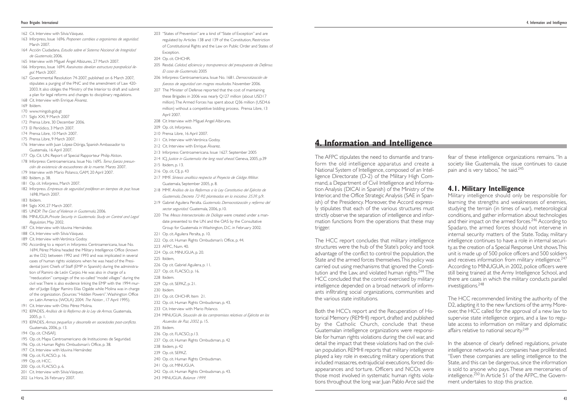- 162 Cit. Interview with Silvia Vásquez.
- 163 Inforpress, Issue 1696. *Proponen cambios a organismos de seguridad.* March 2007.
- 164 Acción Ciudadana. *Estudio sobre el Sistema Nacional de Integridad de Guatemala*, 2006.
- 165 Interview with Miguel Ángel Albizures, 27 March 2007.
- 166 Inforpress, Issue 1694. *Asesinatos develan estructura parapolicial ilegal.* March 2007.
- 167 Governmental Resolution 74-2007, published on 6 March 2007, stipulates a purging of the PNC and the amendment of Law 420- 2003. It also obliges the Ministry of the Interior to draft and submit a plan for legal reforms and changes to disciplinary regulations.
- 168 Cit. Interview with Enrique Álvarez.
- 169 Ibídem.
- 170 www.mingob.gob.gt
- 171 Siglo XXI, 9 March 2007
- 172 Prensa Libre, 30 December 2006.
- 173 El Periódico, 3 March 2007.
- 174 Prensa Libre, 10 March 2007.
- 175 Prensa Libre, 9 March 2007.
- 176 Interview with Juan López-Dóriga, Spanish Ambassador to Guatemala, 16 April 2007.
- 177 Op. Cit. UN. Report of Special Rapporteur Philip Alston.
- 178 Inforpress Centroamericana. Issue No. 1695. *Toma fuerza presunción de existencia de escuadrones de la muerte.* Marzo 2007.
- 179 Interview with Mario Polanco, GAM, 20 April 2007.
- 180 Ibídem, p. 38.
- 181 Op. cit. Inforpress, March 2007.
- 182 Inforpress. *Empresas de seguridad proliferan en tiempos de paz*. Issue 1698, March 2007.
- 183 Ibídem.
- 184 Siglo XXI, 27 March 2007.
- 185 UNDP. *The Cost of Violence in Guatemala*, 2006.
- 186 MINUGUA.*Private Security in Guatemala. Study on Control and Legal Regulation*, May 2002.
- 187 Cit. Interview with Iduvina Hernández.
- 188 Cit, Interview with Silvia Vásquez.
- 189 Cit. Interview with Verónica Godoy.
- 190 According to a report in Inforpress Centroamericana, Issue No. 1694, Pérez Molina headed the Military Intelligence Office (known as the D2) between 1992 and 1993 and was implicated in several cases of human rights violations when he was head of the Presidential Joint Chiefs of Staff (EMP in Spanish) during the administration of Ramiro de León Carpio. He was also in charge of a "reeducation" campaign of the so-called "model villages" during the civil war.There is also evidence linking the EMP with the 1994 murder of Judge Edgar Ramiro Elías Ogalde while Molina was in charge of the organization. (Sources:"Hidden Powers".Washington Office on Latin America (WOLA) 2004. *The Nation* , 17 April 1995).
- 191 Cit. Interview with Otto Pérez Molina.
- 192 IEPADES. *Análisis de la Reforma de la Ley de Armas*. Guatemala, 2005, p. 1.
- 193 IEPADES. *Armas pequeñas y desarrollo en sociedades post-conflicto*. Guatemala, 2006, p. 13.
- 194 Op. cit. CNSAFJ.
- 195 Op. cit. Mapa Centroamericano de Instituciones de Seguridad.
- 196 Op. cit. Human Rights Ombudsman's Office, p. 38.
- 197 Cit. Interview with Iduvina Hernández
- 198 Op. cit. FLACSO. p. 16.
- 199 Op. cit. HCC. 200 Op. cit. FLACSO. p. 6.
- 201 Cit. Interview with Silvia Vásquez.
- 202 La Hora, 26 February 2007.
- 203 "States of Prevention" are a kind of "State of Exception" and are regulated by Articles 138 and 139 of the Constitution, Restriction of Constitutional Rights and the Law on Public Order and States of Exception.
- 204 Op. cit. OHCHR.
- 205 Resdal. *Calidad, eficiencia y transparencia del presupuesto de Defensa. El caso de Guatemala.* 2005
- 206 Inforpress Centroamericana. Issue No. 1681. *Democratización de fuerzas de seguridad con magros resultados.* November 2006.
- 207 The Minister of Defense reported that the cost of maintaining these Brigades in 2006 was nearly Q127 million (about USD17 million).The Armed Forces has spent about Q36 million (USD4.6 million) without a competitive bidding process. Prensa Libre, 13 April 2007.
- 208 Cit Interview with Miguel Angel Albirures.
- 209 Op. cit. Inforpress.
- 210 Prensa Libre, 16 April 2007.
- 211 Cit. Interview with Verónica Godoy.
- 212 Cit. Interview with Enrique Álvarez.
- 213 Inforpress Centroamericana. Issue 1627. September 2005
- 214 ICJ. *Justice in Guatemala: the long road ahead*. Geneva, 2005, p.39
- 215 Ibidem, p. 13.
- 216 Op. cit, CIJ, p. 43
- 217 MMF. *Síntesis analítica respecto al Proyecto de Código Militar*. Guatemala, September 2005, p. 8.

fear of these intelligence organizations remains. "In a society like Guatemala, the issue continues to cause pain and is very taboo," he said.<sup>245</sup>

The HCC recommended limiting the authority of the D2, adapting it to the new functions of the army. Moreover, the HCC called for the approval of a new law to supervise state intelligence organs, and a law to regulate access to information on military and diplomatic affairs relative to national security.<sup>249</sup>

218 MMF. *Análisis de las Reformas a la Ley Constitutiva del Ejército de Guatemala, Decreto 72-90, planteadas en la iniciativa 3539,* p.9.

- 219 Gabriel Aguilera Peralta. *Guatemala. Democratización y reforma del sector seguridad.* Guatemala, 2006, p.10.
- 220 The *Mesas Intersectoriales de Diálogo* were created under a mandate presented to the UN and the OAS by the Consultative Group for Guatemala in Washington, D.C. in February 2002.
- 221 Op. cit. Aguilera Peralta, p. 10.
- 222 Op. cit. Human Rights Ombudsman's Office, p. 44.
- 223 AFPC, Num. 40.
- 224 Op. cit. MINUGUA, p. 20.
- 225 Ibídem,
- 226 Op cit. Gabriel Aguilera, p. 11.
- 227 Op. cit. FLACSO, p. 16.
- 228 Ibidem.
- 229 Op. cit. SEPAZ, p. 21.
- 230 Ibidem.
- 231 Op. cit. OHCHR. Item 21.
- 232 Op. cit. Human Rights Ombudsman, p. 43.
- 233 Cit. Interview with Mario Polanco.
- 234 MINUGUA. *Situación de los compromisos relativos al Ejército en los Acuerdos de Paz, 2002,* p. 15.
- 235 Ibidem.
- 
- 236 Op. cit. FLACSO, p.13.
- 237 Op. cit. Human Rights Ombudsman, p. 42
- 238 Ibidem, p. 42
- 239 Op. cit. SEPAZ.
- 240 Op. cit. Human Rights Ombudsman.
- 241 Op. cit. MINUGUA.
- 242 Op. cit. Human Rights Ombudsman, p. 43.
- 243 MINUGUA. *Balance 1999.*

The AFPC stipulates the need to dismantle and transform the old intelligence apparatus and create a National System of Intelligence, composed of an Intelligence Directorate (D-2) of the Military High Command, a Department of Civil Intelligence and Information Analysis (DICAI in Spanish) of the Ministry of the Interior, and the Office Strategic Analysis (SAE in Spanish) of the Presidency. Moreover, the Accord expressly stipulates that each of the various structures must strictly observe the separation of intelligence and information functions from the operations that these may trigger.

The HCC report concludes that military intelligence structures were the hub of the State's policy and took advantage of the conflict to control the population, the State and the armed forces themselves.This policy was carried out using mechanisms that ignored the Constitution and the Law, and violated human rights.<sup>244</sup> The HCC concluded that the control exercised by military intelligence depended on a broad network of informants infiltrating social organizations, communities and the various state institutions.

Both the HCC's report and the Recuperation of Historical Memory (REMHI) report, drafted and published by the Catholic Church, conclude that these Guatemalan intelligence organizations were responsible for human rights violations during the civil war, and detail the impact that these violations had on the civilian population. REMHI reports that military intelligence played a key role in executing military operations that included massacres, extrajudicial executions, forced disappearances and torture. Officers and NCOs were those most involved in systematic human rights violations throughout the long war. Juan Pablo Arce said the

## **4.1. Military Intelligence**

Military intelligence should only be responsible for learning the strengths and weaknesses of enemies, studying the terrain (in times of war), meteorological conditions, and gather information about technologies and their impact on the armed forces.<sup>246</sup> According to Spadaro, the armed forces should not intervene in internal security matters of the State. Today, military intelligence continues to have a role in internal security, as the creation of a Special Response Unit shows.This unit is made up of 500 police officers and 500 soldiers and receives information from military intelligence.<sup>247</sup> According to MINUGUA, in 2002, police officers were still being trained at the Army Intelligence School, and there are cases in which the military conducts parallel investigations.248

In the absence of clearly defined regulations, private intelligence networks and companies have proliferated. "Even these companies are selling intelligence to the State, and this can be dangerous, since the information is sold to anyone who pays.These are mercenaries of intelligence.<sup>250</sup> In Article 51 of the AFPC, the Government undertakes to stop this practice.

## **4. Information and Intelligence**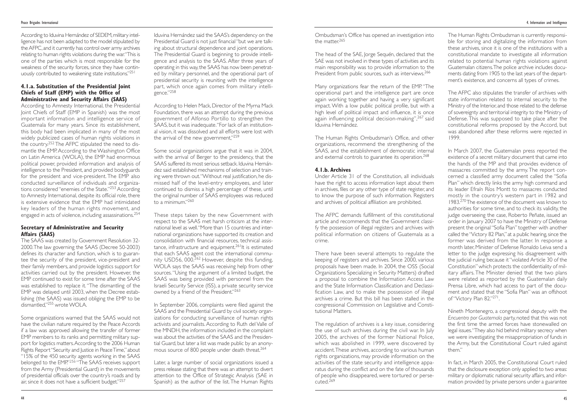The head of the SAE, Jorge Sequén, declared that the SAE was not involved in these types of activities and its main responsibility was to provide information to the President from public sources, such as interviews.<sup>266</sup>

The Human Rights Ombudsman's Office, and other organizations, recommend the strengthening of the SAAS, and the establishment of democratic internal and external controls to guarantee its operation.<sup>268</sup>

Many organizations fear the return of the EMP. "The operational part and the intelligence part are once again working together and having a very significant impact. With a low public political profile, but with a high level of political impact and influence, it is once again influencing political decision-making",267 said Iduvina Hernández.

#### **4.1.b. Archives**

The regulation of archives is a key issue, considering the use of such archives during the civil war. In July 2005, the archives of the former National Police, which was abolished in 1999, were discovered by accident.These archives, according to various human rights organizations, may provide information on the activities of the state security and intelligence apparatus during the conflict and on the fate of thousands of people who disappeared, were tortured or perse $cuted<sup>269</sup>$ 

Under Article 31 of the Constitution, all individuals have the right to access information kept about them in archives, files or any other type of state register, and to know the purpose of such information. Registers and archives of political affiliation are prohibited.

The AFPC demands fulfillment of this constitutional article and recommends that the Government classify the possession of illegal registers and archives with political information on citizens of Guatemala as a crime.

In March 2007, the Guatemalan press reported the existence of a secret military document that came into the hands of the MP and that provides evidence of massacres committed by the army. The report concerned a classified army document called the "Sofia Plan" which directly links the army high command and its leader Efraín Ríos Montt to massacres conducted mostly in the country's western part in 1982 and 1983.<sup>270</sup>The existence of the document was known to authorities for some time, and to check its validity, the judge overseeing the case, Roberto Peñate, issued an order in January 2007 to have the Ministry of Defense present the original "Sofia Plan" together with another called the "Victory 82 Plan," at a public hearing, since the former was derived from the latter. In response a month later, Minister of Defense Ronaldo Leiva send a letter to the judge expressing his disagreement with the judicial ruling because it "violated Article 30 of the Constitution" which protects the confidentiality of military affairs. The Minister denied that the two plans were related as reported by the Guatemalan daily Prensa Libre, which had access to part of the document and stated that the "Sofia Plan" was an offshoot of "Victory Plan 82."<sup>271</sup>.

There have been several attempts to regulate the keeping of registers and archives. Since 2000, various proposals have been made. In 2004, the OSS (Social Organizations Specializing in Security Matters) drafted a proposal to combine the Information Access Law and the State Information Classification and Declassification Law, and to make the possession of illegal archives a crime. But this bill has been stalled in the congressional Commission on Legislative and Constitutional Matters.

The Human Rights Ombudsman is currently responsible for storing and digitalizing the information from these archives, since it is one of the institutions with a constitutional mandate to investigate all information related to potential human rights violations against Guatemalan citizens.The police archive includes documents dating from 1905 to the last years of the department's existence, and concerns all types of crimes.

According to Iduvina Hernández of SEDEM, military intelligence has not been adapted to the model stipulated by the AFPC,and it currently has control over army archives relating to human rights violations during the war."This is one of the parties which is most responsible for the weakness of the security forces, since they have continuously contributed to weakening state institutions."251

> The AFPC also stipulates the transfer of archives with state information related to internal security to the Ministry of the Interior, and those related to the defense of sovereignty and territorial integrity to the Ministry of Defense. This was supposed to take place after the constitutional reforms proposed by the Accord, but was abandoned after these reforms were rejected in 1999.

Some organizations warned that the SAAS would not have the civilian nature required by the Peace Accords if a law was approved allowing the transfer of former EMP members to its ranks and permitting military support for logistics matters.According to the 2006 Human Rights Report "Security and Justice in Peace Time,"about "15% of the 450 security agents working in the SAAS belonged to the EMP."*<sup>256</sup>* "The SAAS receives support from the Army (Presidential Guard) in the movements of presidential officials over the country's roads and by air, since it does not have a sufficient budget."257

According to Helen Mack, Director of the Myrna Mack Foundation, there was an attempt during the previous government of Alfonso Portillo to strengthen the SAAS, but it was inadequate."For lack of an institutional vision, it was dissolved and all efforts were lost with the arrival of the new government."<sup>259</sup>

These steps taken by the new Government with respect to the SAAS met harsh criticism at the international level as well."More than 15 countries and international organizations have supported its creation and consolidation with financial resources, technical assistance, infrastructure and equipment.<sup>261</sup>It is estimated that each SAAS agent cost the international community USD56, 000.<sup>262</sup> However, despite this funding, WOLA says the SAAS was receiving help from other sources."Using the argument of a limited budget, the SAAS was being provided with personnel from the Israeli Security Service (ISS), a private security service owned by a friend of the President."263

In September 2006, complaints were filed against the SAAS and the Presidential Guard by civil society organizations for conducting surveillance of human rights activists and journalists. According to Ruth del Valle of the MNDH, the information included in the complaint was about the activities of the SAAS and the Presidential Guard, but later a list was made public by an anonymous source of 800 people under death threat.<sup>264</sup>

Nineth Montenegro, a congressional deputy with the *Encuentro por Guatemala* party, noted that this was not the first time the armed forces have stonewalled on legal issues."They also hid behind military secrecy when we were investigating the misappropriation of funds in the Army, but the Constitutional Court ruled against them."

In fact, in March 2005, the Constitutional Court ruled that the disclosure exception only applied to two areas: military or diplomatic national security affairs, and information provided by private persons under a guarantee

#### **4.1.a. Substitution of the Presidential Joint Chiefs of Staff (EMP) with the Office of Administrative and Security Affairs (SAAS)**

According to Amnesty International, the Presidential Joint Chiefs of Staff (EMP in Spanish) was the most important information and intelligence service of Guatemala for many years. Since its establishment, this body had been implicated in many of the most widely publicized cases of human rights violations in the country.<sup>252</sup> The AFPC stipulated the need to dismantle the EMP. According to the Washington Office on Latin America (WOLA), the EMP had enormous political power, provided information and analysis of intelligence to the President, and provided bodyguards for the president and vice-president. The EMP also conducted surveillance of individuals and organizations considered "enemies of the State."<sup>253</sup> According to Amnesty International, despite its official role, there is extensive evidence that the EMP had intimidated key leaders of the human rights movement, and engaged in acts of violence, including assassinations.<sup>254</sup>

#### **Secretary of Administrative and Security Affairs (SAAS)**

The SAAS was created by Government Resolution 32- 2000.The law governing the SAAS (Decree 50-2003) defines its character and function, which is to guarantee the security of the president, vice-president and their family members, and provide logistics support for activities carried out by the president. However, the EMP continued to exist for some time after the SAAS was established to replace it. "The dismantling of the EMP was delayed until 2003, when the Decree establishing (the SAAS) was issued obliging the EMP to be dismantled,"255 wrote WOLA.

Iduvina Hernández said the SAAS's dependency on the Presidential Guard is not just financial "but we are talking about structural dependence and joint operations. The Presidential Guard is beginning to provide intelligence and analysis to the SAAS. After three years of operating in this way, the SAAS has now been penetrated by military personnel, and the operational part of presidential security is reuniting with the intelligence part, which once again comes from military intelligence."258

Some social organizations argue that it was in 2004, with the arrival of Berger to the presidency, that the SAAS suffered its most serious setback. Iduvina Hernández said established mechanisms of selection and training were thrown out."Without real justification, he dismissed half of the level-entry employees, and later continued to dismiss a high percentage of these, until the original number of SAAS employees was reduced to a minimum."260

Later, a large number of social organizations issued a press release stating that there was an attempt to divert attention to the Office of Strategic Analysis (SAE in Spanish) as the author of the list.The Human Rights

Ombudsman's Office has opened an investigation into the matter<sup>265</sup>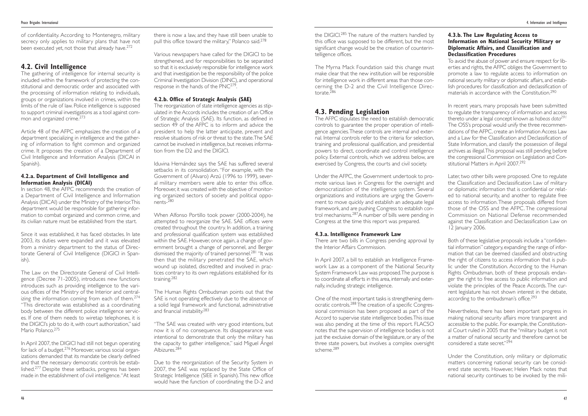the DIGICI.285 The nature of the matters handled by this office was supposed to be different, but the most significant change would be the creation of counterintelligence offices.

The Myrna Mack Foundation said this change must make clear that the new institution will be responsible for intelligence work in different areas than those concerning the D-2 and the Civil Intelligence Directorate.<sup>286</sup>

## **4.3. Pending Legislation**

The AFPC stipulates the need to establish democratic controls to guarantee the proper operation of intelligence agencies.These controls are internal and external. Internal controls refer to the criteria for selection, training and professional qualification, and presidential powers to direct, coordinate and control intelligence policy. External controls, which we address below, are exercised by Congress, the courts and civil society.

One of the most important tasks is strengthening democratic controls.288 The creation of a specific Congressional commission has been proposed as part of the Accord to supervise state intelligence bodies.This issue was also pending at the time of this report. FLACSO notes that the supervision of intelligence bodies is not just the exclusive domain of the legislature, or any of the three state powers, but involves a complex oversight scheme<sup>289</sup>

Under the AFPC, the Government undertook to promote various laws in Congress for the oversight and democratization of the intelligence system. Several organizations and institutions are urging the Government to move quickly and establish an adequate legal framework, and are pushing Congress to establish control mechanisms.287A number of bills were pending in Congress at the time this report was prepared.

To avoid the abuse of power and ensure respect for liberties and rights, the AFPC obliges the Government to promote a law to regulate access to information on national security military or diplomatic affairs, and establish procedures for classification and declassification of materials in accordance with the Constitution.<sup>290</sup>

#### **4.3.a. Intelligence Framework Law**

There are two bills in Congress pending approval by the Interior Affairs Commission.

In April 2007, a bill to establish an Intelligence Framework Law as a component of the National Security System Framework Law was proposed.The purpose is to coordinate all efforts in this area, internally and externally, including strategic intelligence.

Later, two other bills were proposed. One to regulate the Classification and Declassification Law of military or diplomatic information that is confidential or related to national security, and another to regulate free access to information.These proposals differed from those of the OSS and the AFPC. The congressional Commission on National Defense recommended against the Classification and Declassification Law on 12 January 2006.

Both of these legislative proposals include a "confidential information" category, expanding the range of information that can be deemed classified and obstructing the right of citizens to access information that is public under the Constitution. According to the Human Rights Ombudsman, both of these proposals endanger the right to free access to public information and violate the principles of the Peace Accords. The current legislature has not shown interest in the debate, according to the ombudsman's office.<sup>293</sup>

Nevertheless, there has been important progress in making national security affairs more transparent and accessible to the public. For example, the Constitutional Court ruled in 2005 that the "military budget is not a matter of national security and therefore cannot be considered a state secret."<sup>294</sup>

#### **4.3.b. The Law Regulating Access to Information on National Security Military or Diplomatic Affairs, and Classification and Declassification Procedures**

of confidentiality. According to Montenegro, military secrecy only applies to military plans that have not been executed yet, not those that already have.<sup>272</sup>

The gathering of intelligence for internal security is included within the framework of protecting the constitutional and democratic order and associated with the processing of information relating to individuals, groups or organizations involved in crimes, within the limits of the rule of law. Police intelligence is supposed to support criminal investigations as a tool against common and organized crime.<sup>273</sup>

In recent years, many proposals have been submitted to regulate the transparency of information and access thereto under a legal concept known as *habeas data291* The OSS's proposal would unify the three recommendations of the AFPC, create an Information Access Law and a Law for the Classification and Declassification of State Information, and classify the possession of illegal archives as illegal.This proposal was still pending before the congressional Commission on Legislation and Constitutional Matters in April 2007.292

there is now a law, and they have still been unable to pull this office toward the military," Polanco said.<sup>278</sup>

Various newspapers have called for the DIGICI to be strengthened, and for responsibilities to be separated so that it is exclusively responsible for intelligence work and that investigation be the responsibility of the police Criminal Investigation Division (DINC), and operational response in the hands of the PNC<sup>279</sup>.

The Human Rights Ombudsman points out that the SAE is not operating effectively due to the absence of a solid legal framework and functional, administrative and financial instability.<sup>283</sup>

> Under the Constitution, only military or diplomatic matters concerning national security can be considered state secrets. However, Helen Mack notes that national security continues to be invoked by the mili-

## **4.2. Civil Intelligence**

Article 48 of the AFPC emphasizes the creation of a department specializing in intelligence and the gathering of information to fight common and organized crime. It proposes the creation of a Department of Civil Intelligence and Information Analysis (DICAI in Spanish).

#### **4.2.a. Department of Civil Intelligence and Information Analysis (DICAI)**

In section 48, the AFPC recommends the creation of a Department of Civil Intelligence and Information Analysis (DICAI) under the Ministry of the Interior.This department would be responsible for gathering information to combat organized and common crime, and its civilian nature must be established from the start.

Since it was established, it has faced obstacles. In late 2003, its duties were expanded and it was elevated from a ministry department to the status of Directorate General of Civil Intelligence (DIGICI in Spanish).

The Law on the Directorate General of Civil Intelligence (Decree 71-2005), introduces new functions introduces such as providing intelligence to the various offices of the Ministry of the Interior and centralizing the information coming from each of them.<sup>274</sup> "This directorate was established as a coordinating body between the different police intelligence services. If one of them needs to wiretap telephones, it is the DIGICI's job to do it, with court authorization," said Mario Polanco. 275

In April 2007, the DIGICI had still not begun operating for lack of a budget.276 Moreover, various social organizations demanded that its mandate be clearly defined and that the necessary democratic controls be established.277 Despite these setbacks, progress has been made in the establishment of civil intelligence."At least

### **4.2.b. Office of Strategic Analysis (SAE)**

The reorganization of state intelligence agencies as stipulated in the Accords includes the creation of an Office of Strategic Analysis (SAE). Its function, as defined in section 49 of the AFPC is to inform and advice the president to help the latter anticipate, prevent and resolve situations of risk or threat to the state.The SAE cannot be involved in intelligence, but receives information from the D2 and the DIGICI.

Iduvina Hernández says the SAE has suffered several setbacks in its consolidation. "For example, with the Government of (Alvaro) Arzú (1996 to 1999), several military members were able to enter this office. Moreover, it was created with the objective of monitoring organized sectors of society and political opponents-280

When Alfonso Portillo took power (2000-2004), he attempted to reorganize the SAE. SAE offices were created throughout the country. In addition, a training and professional qualification system was established within the SAE. However, once again, a change of government brought a change of personnel, and Berger dismissed the majority of trained personnel.<sup>281</sup> "It was then that the military penetrated the SAE, which wound up isolated, discredited and involved in practices contrary to its own regulations established for its training.282

"The SAE was created with very good intentions, but now it is of no consequence. Its disappearance was intentional to demonstrate that only the military has the capacity to gather intelligence," said Miguel Ángel Albizures.284

Due to the reorganization of the Security System in 2007, the SAE was replaced by the State Office of Strategic Intelligence (SIEE in Spanish).This new office would have the function of coordinating the D-2 and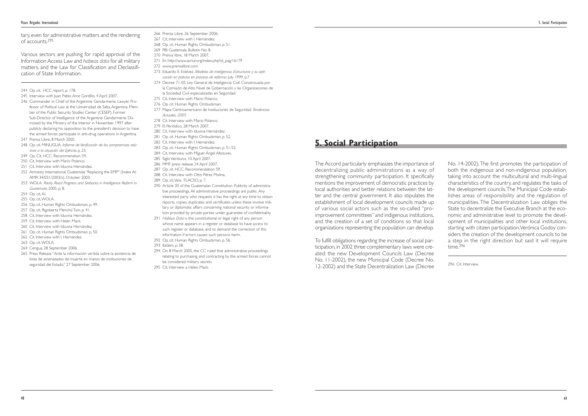The Accord particularly emphasizes the importance of decentralizing public administrations as a way of strengthening community participation. It specifically mentions the improvement of democratic practices by local authorities and better relations between the latter and the central government. It also stipulates the establishment of local development councils made up of various social actors such as the so-called "proimprovement committees" and indigenous institutions, and the creation of a set of conditions so that local organizations representing the population can develop.

No. 14-2002).The first promotes the participation of both the indigenous and non-indigenous population, taking into account the multicultural and multi-lingual characteristics of the country, and regulates the tasks of the development councils.The Municipal Code establishes areas of responsibility and the regulation of municipalities. The Decentralization Law obliges the State to decentralize the Executive Branch at the economic and administrative level to promote the development of municipalities and other local institutions, starting with citizen participation.Verónica Godoy considers the creation of the development councils to be a step in the right direction but said it will require  $time^2$ <sup>296</sup>

To fulfill obligations regarding the increase of social participation, in 2002 three complementary laws were created: the new Development Councils Law (Decree No. 11-2002), the new Municipal Code (Decree No. 12-2002) and the State Decentralization Law (Decree

296 Cit. Interview.

tary, even for administrative matters and the rendering of accounts.295

- 245 Interview with Juan Pablo Arce Gordillo, 4 April 2007.
- 246 Commander in Chief of the Argentine Gendarmerie. Lawyer. Professor of Political Law at the Universidad de Salta, Argentina. Member of the Public Security Studies Center (CESEP). Former Sub-Director of Intelligence of the Argentine Gendarmerie. Dismissed by the Ministry of the Interior in November 1997 after publicly declaring his opposition to the president's decision to have the armed forces participate in anti-drug operations in Argentina.
- 247 Prensa Libre, 8 March 2005.
- 248 Op. cit. MINUGUA. *Informe de Verificación de los compromisos relativos a la situación del Ejército.* p. 23.
- 249 Op. Cit. HCC. Recommenation 59.
- 250 Cit. Interview with Mario Polanco.
- 251 Cit. Interview with Iduvina Hernández.
- 252 Amnesty International. Guatemala "Replacing the EMP" (Index AI: AMR 34/031/2003/s). October 2003.
- 253 WOLA. *Rocky Road. Progress and Setbacks in Intelligence Reform in Guatemala,* 2005, p. 8.
- 254 Op. cit, AI.
- 255 Op. cit,WOLA.
- 256 Op. cit. Human Rights Ombudsman, p. 49.
- 257 Op. cit. Rigoberta Menchú Tum, p. 41.
- 258 Cit. Interview with Iduvina Hernández.
- 259 Cit. Interview with Helen Mack.
- 260 Cit. Interview with Iduvina Hernández.
- 261 Op. cit. Human Rights Ombudsman, p. 50.
- 262 Cit. Interview with I. Hernández.
- 263 Op. cit.WOLA.
- 264 Cerigua, 28 September 2006.
- 265 Press Release "Ante la información vertida sobre la existencia de listas de amenazados de muerte en manos de instituciones de seguridad del Estado," 27 September 2006.

Various sectors are pushing for rapid approval of the Information Access Law and *habeas data* for all military matters, and the Law for Classification and Declassification of State Information.

244 Op. cit. HCC report, p. 178.

- 266 Prensa Libre, 26 September 2006.
- 267 Cit. Interview with I. Hernández.
- 268 Op. cit. Human Rights Ombudsman, p. 51.
- 269 PBI Guatemala. Bulletin No. 8.
- 270 Prensa libre, 18 March 2007.
- 271 En http://www.acnur.org/index.php?id\_pag=6179
- 272 www.prensalibre.com
- 273 Eduardo E. Estévez. *Modelos de inteligencia, Estructuras y su aplicación en policías en proceso de reforma.* July 1999, p.7
- 274 Decree 71-05. Ley General de Inteligencia Civil. Consensuada por la Comisión de Alto Nivel de Gobernación y las Organizaciones de la Sociedad Civil especializadas en Seguridad.
- 275 Cit. Interview with Mario Polanco.
- 276 Op. cit. Human Rights Ombudsman*.*
- 277 Mapa Centroamericano de Instituciones de Seguridad. *Tendencias Actuales, 2005.*
- 278 Cit. Interview with Mario Polanco.
- 279 El Periódico, 28 March 2007.
- 280 Cit. Interview with Iduvina Hernández.
- 281 Op. cit. Human Rights Ombudsman, p. 52.
- 282 Cit. Interview with I. Hernández.
- 283 Op. cit. Human Rights Ombudsman, p. 51-52.
- 284 Cit. Interview with Miguel Ángel Albizures.
- 285 Siglo Veintiuno, 10 April 2007.
- 286 MMF press release 24 April 2007.
- 287 Op. cit. HCC. Recommendation 59.
- 288 Cit. Interview with Otto Pérez Molina. 289 Op. cit.Vela. FLACSO, p. 7.
- 290 Article 30 of the Guatemalan Constitution. Publicity of administrative proceedings. All administrative proceedings are public.Any interested party who requests it has the right at any time to obtain reports, copies, duplicates and certificates unless these involve military or diplomatic affairs concerning national security or informa-
- tion provided by private parties under guarantee of confidentiality. 291 *Habeas Data* is the constitutional or legal right of any person whose name appears in a register or database to have access to such register or database, and to demand the correction of this
- information if errors causes such persons harm. 292 Op. cit. Human Rights Ombudsman, p. 56.
- 
- 293 Ibídem, p. 58.
- 294 On 8 March 2005, the CC ruled that administrative proceedings relating to purchasing and contracting by the armed forces cannot be considered military secrets.
- 295 Cit. Interview a Helen Mack.

## **5. Social Participation**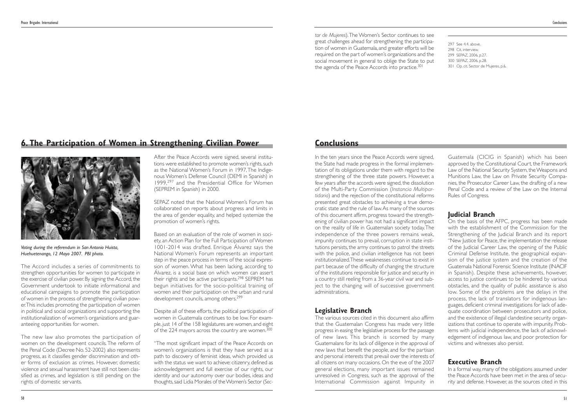297 See 4.4. above. 298 Cit. interview. 299 SEPAZ, 2006, p.27. 300 SEPAZ, 2006, p.28. 301 Op. cit. Sector de Mujeres, p.6.

In the ten years since the Peace Accords were signed, the State had made progress in the formal implementation of its obligations under them with regard to the strengthening of the three state powers. However, a few years after the accords were signed, the dissolution of the Multi-Party Commission (*Instancia Multipartidaria*) and the rejection of the constitutional reforms presented great obstacles to achieving a true democratic state and the rule of law.As many of the sources of this document affirm, progress toward the strengthening of civilian power has not had a significant impact on the reality of life in Guatemalan society today.The independence of the three powers remains weak, impunity continues to prevail, corruption in state institutions persists, the army continues to patrol the streets with the police, and civilian intelligence has not been institutionalized.These weaknesses continue to exist in part because of the difficulty of changing the structure of the institutions responsible for justice and security in a country still reeling from a 36-year civil war and subject to the changing will of successive government administrations.

## **Legislative Branch**

The various sources cited in this document also affirm that the Guatemalan Congress has made very little progress in easing the legislative process for the passage of new laws. This branch is scorned by many Guatemalans for its lack of diligence in the approval of new laws that benefit the people, and for the partisan and personal interests that prevail over the interests of all citizens on many occasions. On the eve of the 2007 general elections, many important issues remained unresolved in Congress, such as the approval of the International Commission against Impunity in

Guatemala (CICIG in Spanish) which has been approved by the Constitutional Court, the Framework Law of the National Security System, the Weapons and Munitions Law, the Law on Private Security Companies, the Prosecutor Career Law, the drafting of a new Penal Code and a review of the Law on the Internal Rules of Congress.

## **Judicial Branch**

Based on an evaluation of the role of women in society, an Action Plan for the Full Participation of Women 1001-2014 was drafted. Enrique Álvarez says the National Women's Forum represents an important step in the peace process in terms of the social expression of women. What has been lacking, according to Álvarez, is a social base on which women can assert their rights and be active participants.<sup>298</sup> SEPREM has begun initiatives for the socio-political training of women and their participation on the urban and rural development councils, among others.<sup>299</sup>

Despite all of these efforts, the political participation of women in Guatemala continues to be low. For example, just 14 of the 158 legislatures are women, and eight of the 224 mayors across the country are women.<sup>300</sup>

On the basis of the AFPC, progress has been made with the establishment of the Commission for the Strengthening of the Judicial Branch and its report "New Justice for Peace, the implementation the release of the Judicial Career Law, the opening of the Public Criminal Defense Institute, the geographical expansion of the justice system and the creation of the Guatemala National Forensic Science Institute (INACIF in Spanish). Despite these achievements, however, access to justice continues to be hindered by various obstacles, and the quality of public assistance is also low. Some of the problems are the delays in the process, the lack of translators for indigenous languages, deficient criminal investigations for lack of adequate coordination between prosecutors and police, and the existence of illegal clandestine security organizations that continue to operate with impunity. Problems with judicial independence, the lack of acknowledgement of indigenous law, and poor protection for victims and witnesses also persist.

## **Executive Branch**

In a formal way, many of the obligations assumed under the Peace Accords have been met in the area of security and defense. However, as the sources cited in this

The Accord includes a series of commitments to strengthen opportunities for women to participate in the exercise of civilian power. By signing the Accord, the Government undertook to initiate informational and educational campaigns to promote the participation of women in the process of strengthening civilian power.This includes promoting the participation of women in political and social organizations and supporting the institutionalization of women's organizations and guaranteeing opportunities for women.

The new law also promotes the participation of women on the development councils.The reform of the Penal Code (Decree No. 52-2002) also represents progress, as it classifies gender discrimination and other forms of exclusion as crimes. However, domestic violence and sexual harassment have still not been classified as crimes, and legislation is still pending on the rights of domestic servants.

After the Peace Accords were signed, several institutions were established to promote women's rights, such as the National Women's Forum in 1997,The Indigenous Women's Defense Council (DEMI in Spanish) in 1999,<sup>297</sup> and the Presidential Office for Women (SEPREM in Spanish) in 2000.

SEPAZ noted that the National Women's Forum has collaborated on reports about progress and limits in the area of gender equality, and helped systemize the promotion of women's rights.

"The most significant impact of the Peace Accords on women's organizations is that they have served as a path to discovery of feminist ideas, which provided us with the status we want to achieve: citizenry, defined as acknowledgement and full exercise of our rights, our identity and our autonomy over our bodies, ideas and thoughts,said Lidia Morales of the Women's Sector (*Sec-*

*tor de Mujeres*).The Women's Sector continues to see great challenges ahead for strengthening the participation of women in Guatemala, and greater efforts will be required on the part of women's organizations and the social movement in general to oblige the State to put the agenda of the Peace Accords into practice.<sup>301</sup>

## **6. The Participation of Women in Strengthening Civilian Power**



*Voting during the referendum in San Antonio Huista, Huehuetenango, 12 Mayo 2007. PBI photo.*

## **Conclusions**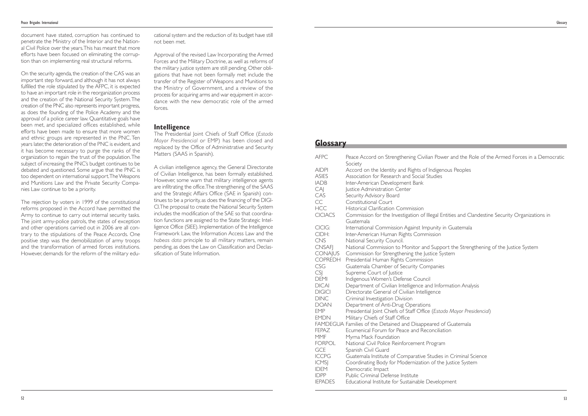| <b>AFPC</b>    | Peace Accord on Strengthening Civilian Power and<br>Society |
|----------------|-------------------------------------------------------------|
| <b>AIDPI</b>   | Accord on the Identity and Rights of Indigenous Pe          |
| <b>ASIES</b>   | Association for Research and Social Studies                 |
| <b>IADB</b>    | Inter-American Development Bank                             |
| CAJ            | Justice Administration Center                               |
| CAS            | Security Advisory Board                                     |
| CC             | <b>Constitutional Court</b>                                 |
| <b>HCC</b>     | <b>Historical Clarification Commission</b>                  |
| <b>CICIACS</b> | Commission for the Investigation of Illegal Entities        |
|                | Guatemala                                                   |
| CICIG:         | International Commission Against Impunity in Gua            |
| CIDH:          | Inter-American Human Rights Commission                      |
| <b>CNS</b>     | National Security Council.                                  |
| <b>CNSAFI</b>  | National Commission to Monitor and Support the              |
| <b>CONAJUS</b> | Commission for Strengthening the Justice System             |
| <b>COPREDH</b> | Presidential Human Rights Commission                        |
| CSG            | Guatemala Chamber of Security Companies                     |
| CS             | Supreme Court of Justice                                    |
| <b>DEMI</b>    | Indigenous Women's Defense Council                          |
| <b>DICAI</b>   | Department of Civilian Intelligence and Informatio          |
| <b>DIGICI</b>  | Directorate General of Civilian Intelligence                |
| <b>DINC</b>    | Criminal Investigation Division                             |
| <b>DOAN</b>    | Department of Anti-Drug Operations                          |
| <b>EMP</b>     | Presidential Joint Chiefs of Staff Office (Estado May       |
| <b>EMDN</b>    | Military Chiefs of Staff Office                             |
|                | FAMDEGUA Families of the Detained and Disappeared of Guat   |
| <b>FEPAZ</b>   | Ecumenical Forum for Peace and Reconciliation               |
| <b>MMF</b>     | Myrna Mack Foundation                                       |
| <b>FORPOL</b>  | National Civil Police Reinforcement Program                 |
| <b>GCE</b>     | Spanish Civil Guard                                         |
| <b>ICCPG</b>   | Guatemala Institute of Comparative Studies in Crir          |
| <b>ICMS</b>    | Coordinating Body for Modernization of the Justice          |
| <b>IDEM</b>    | Democratic Impact                                           |
| <b>IDPP</b>    | Public Criminal Defense Institute                           |
| <b>IEPADES</b> | Educational Institute for Sustainable Development           |

ver and the Role of the Armed Forces in a Democratic **Peoples** 

ntities and Clandestine Security Organizations in

in Guatemala

ort the Strengthening of the Justice System

**Indian Analysis** 

**Ido Mayor Presidencial)** 

of Guatemala

In Criminal Science Iustice System

document have stated, corruption has continued to penetrate the Ministry of the Interior and the National Civil Police over the years.This has meant that more efforts have been focused on eliminating the corruption than on implementing real structural reforms.

On the security agenda, the creation of the CAS was an important step forward, and although it has not always fulfilled the role stipulated by the AFPC, it is expected to have an important role in the reorganization process and the creation of the National Security System.The creation of the PNC also represents important progress, as does the founding of the Police Academy and the approval of a police career law. Quantitative goals have been met, and specialized offices established, while efforts have been made to ensure that more women and ethnic groups are represented in the PNC. Ten years later, the deterioration of the PNC is evident, and it has become necessary to purge the ranks of the organization to regain the trust of the population.The subject of increasing the PNC's budget continues to be debated and questioned. Some argue that the PNC is too dependent on international support.The Weapons and Munitions Law and the Private Security Companies Law continue to be a priority.

The rejection by voters in 1999 of the constitutional reforms proposed in the Accord have permitted the Army to continue to carry out internal security tasks. The joint army-police patrols, the states of exception and other operations carried out in 2006 are all contrary to the stipulations of the Peace Accords. One positive step was the demobilization of army troops and the transformation of armed forces institutions. However, demands for the reform of the military educational system and the reduction of its budget have still not been met.

Approval of the revised Law Incorporating the Armed Forces and the Military Doctrine, as well as reforms of the military justice system are still pending. Other obligations that have not been formally met include the transfer of the Register of Weapons and Munitions to the Ministry of Government, and a review of the process for acquiring arms and war equipment in accordance with the new democratic role of the armed forces.

#### **Intelligence**

The Presidential Joint Chiefs of Staff Office (*Estado Mayor Presidencial* or EMP) has been closed and replaced by the Office of Administrative and Security Matters (SAAS in Spanish).

A civilian intelligence agency, the General Directorate of Civilian Intelligence, has been formally established. However, some warn that military intelligence agents are infiltrating the office.The strengthening of the SAAS and the Strategic Affairs Office (SAE in Spanish) continues to be a priority, as does the financing of the DIGI-CI.The proposal to create the National Security System includes the modification of the SAE so that coordination functions are assigned to the State Strategic Intelligence Office (SIEE). Implementation of the Intelligence Framework Law, the Information Access Law and the *habeas data* principle to all military matters, remain pending, as does the Law on Classification and Declassification of State Information.

## **Glossary**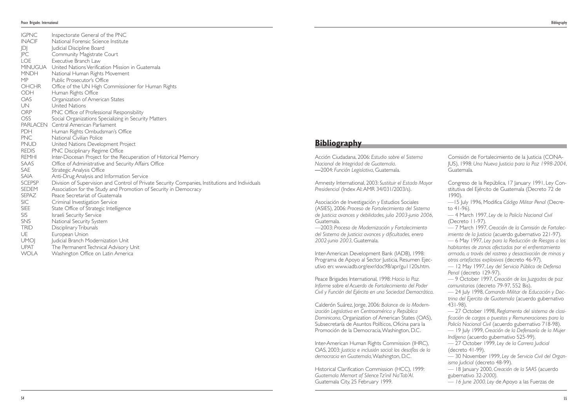Acción Ciudadana, 2006: *Estudio sobre el Sistema Nacional de Integridad de Guatemala*. —2004: *Función Legislativa*, Guatemala.

Amnesty International, 2003: *Sustituir el Estado Mayor Presidencial* (Index AI:AMR 34/031/2003/s).

Asociación de Investigación y Estudios Sociales (ASIES), 2006: *Proceso de Fortalecimiento del Sistema de Justicia: avances y debilidades, julio 2003-junio 2006*, Guatemala.

—2003: *Proceso de Modernización y Fortalecimiento del Sistema de Justicia: avances y dificultades, enero 2002-junio 2003*, Guatemala.

Inter-American Development Bank (IADB), 1998: Programa de Apoyo al Sector Justicia, Resumen Ejecutivo en: www.iadb.org/exr/doc98/apr/gu1120s.htm.

Peace Brigades International, 1998: *Hacia la Paz. Informe sobre el Acuerdo de Fortalecimiento del Poder Civil y Función del Ejército en una Sociedad Democrática*.

Congreso de la República, 17 January 1991, Ley Constitutiva del Ejército de Guatemala (Decreto 72 de 1990).

Calderón Suárez, Jorge, 2006: *Balance de la Modernización Legislativa en Centroamérica y República Dominicana*, Organization of American States (OAS), Subsecretaría de Asuntos Políticos, Oficina para la Promoción de la Democracia,Washington, D.C.

Inter-American Human Rights Commission (IHRC), OAS, 2003: *Justicia e inclusión social: los desafíos de la democracia en Guatemala*,Washington, D.C.

Historical Clarification Commission (HCC), 1999: *Guatemala Memort of Silence Tz'inil Na'Tab'Al*. Guatemala City, 25 February 1999.

Comisión de Fortalecimiento de la Justicia (CONA-JUS), 1998: *Una Nueva Justicia para la Paz 1998-2004*, Guatemala.

—15 July 1996, Modifica *Código Militar Penal* (Decreto 41-96).

— 4 March 1997, *Ley de la Policía Nacional Civil* (Decreto 11-97).

— 7 March 1997, *Creación de la Comisión de Fortalecimiento de la Justicia* (acuerdo gubernativo 221-97). — 6 May 1997, *Ley para la Reducción de Riesgos a los habitantes de zonas afectadas por el enfrentamiento armado, a través del rastreo y desactivación de minas y otros artefactos explosivos* (decreto 46-97).

— 12 May 1997, *Ley del Servicio Público de Defensa Penal* (decreto 129-97).

— 9 October 1997, *Creación de los Juzgados de paz comunitarios* (decreto 79-97, 552 Bis).

— 24 July 1998, *Comando Militar de Educación y Doctrina del Ejercito de Guatemala* (acuerdo gubernativo 431-98).

— 27 October 1998, *Reglamento del sistema de clasificación de cargos o puestos y Remuneraciones para la Policía Nacional Civil* (acuerdo gubernativo 718-98).

— 19 July 1999, *Creación de la Defensoría de la Mujer Indígena* (acuerdo gubernativo 525-99).

— 27 October 1999, *Ley de la Carrera Judicial* (decreto 41-99).

— 30 November 1999, *Ley de Servicio Civil del Organismo Judicial* (decreto 48-99).

— 18 January 2000, *Creación de la SAAS* (acuerdo gubernativo 32*-2000).*

*— 16 June 2000, Ley* de Apoyo a las Fuerzas de

| <b>IGPNC</b>  | Inspectorate General of the PNC                                                                 |
|---------------|-------------------------------------------------------------------------------------------------|
| <b>INACIF</b> | National Forensic Science Institute                                                             |
| JDJ           | Judicial Discipline Board                                                                       |
| PC            | <b>Community Magistrate Court</b>                                                               |
| <b>LOE</b>    | Executive Branch Law                                                                            |
|               | MINUGUA United Nations Verification Mission in Guatemala                                        |
| <b>MNDH</b>   | National Human Rights Movement                                                                  |
| MP            | Public Prosecutor's Office                                                                      |
| <b>OHCHR</b>  | Office of the UN High Commissioner for Human Rights                                             |
| ODH           | Human Rights Office                                                                             |
| <b>OAS</b>    | Organization of American States                                                                 |
| <b>UN</b>     | United Nations                                                                                  |
| <b>ORP</b>    | PNC Office of Professional Responsibility                                                       |
| <b>OSS</b>    | Social Organizations Specializing in Security Matters                                           |
|               | PARLACEN Central American Parliament                                                            |
| PDH           | Human Rights Ombudsman's Office                                                                 |
| <b>PNC</b>    | National Civilian Police                                                                        |
| <b>PNUD</b>   | United Nations Development Project                                                              |
| <b>REDIS</b>  | PNC Disciplinary Regime Office                                                                  |
| <b>REMHI</b>  | Inter-Diocesan Project for the Recuperation of Historical Memory                                |
| SAAS          | Office of Administrative and Security Affairs Office                                            |
| SAE           | Strategic Analysis Office                                                                       |
| <b>SAIA</b>   | Anti-Drug Analysis and Information Service                                                      |
| <b>SCEPSP</b> | Division of Supervision and Control of Private Security Companies, Institutions and Individuals |
| SEDEM         | Association for the Study and Promotion of Security in Democracy                                |
| <b>SEPAZ</b>  | Peace Secretariat of Guatemala                                                                  |
| <b>SIC</b>    | Criminal Investigation Service                                                                  |
| <b>SIEE</b>   | State Office of Strategic Intelligence                                                          |
| <b>SIS</b>    | Israeli Security Service                                                                        |
| <b>SNS</b>    | National Security System                                                                        |
| <b>TRID</b>   | Disciplinary Tribunals                                                                          |
| UE            | European Union                                                                                  |
| <b>UMOI</b>   | Judicial Branch Modernization Unit                                                              |
| <b>UPAT</b>   | The Permanent Technical Advisory Unit                                                           |
| $\sqrt{2}$    |                                                                                                 |

WOLA Washington Office on Latin America

**Bibliography**